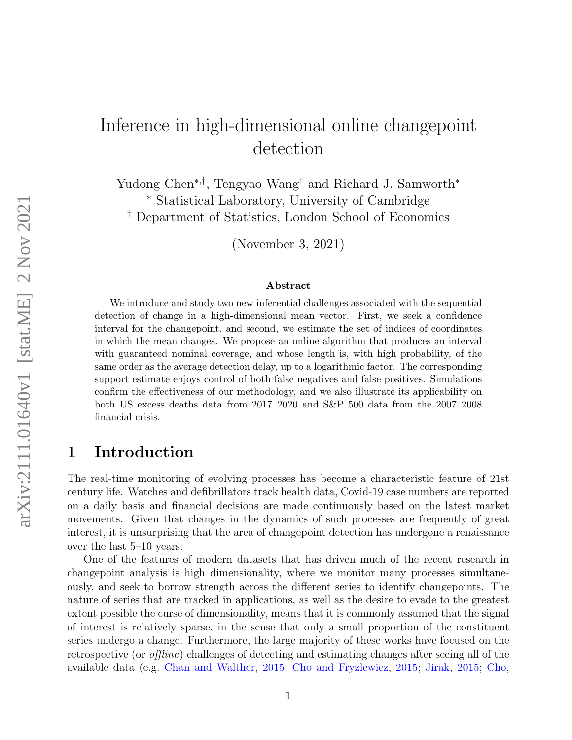# Inference in high-dimensional online changepoint detection

Yudong Chen<sup>∗</sup>,† , Tengyao Wang† and Richard J. Samworth<sup>∗</sup> <sup>∗</sup> Statistical Laboratory, University of Cambridge † Department of Statistics, London School of Economics

(November 3, 2021)

#### Abstract

We introduce and study two new inferential challenges associated with the sequential detection of change in a high-dimensional mean vector. First, we seek a confidence interval for the changepoint, and second, we estimate the set of indices of coordinates in which the mean changes. We propose an online algorithm that produces an interval with guaranteed nominal coverage, and whose length is, with high probability, of the same order as the average detection delay, up to a logarithmic factor. The corresponding support estimate enjoys control of both false negatives and false positives. Simulations confirm the effectiveness of our methodology, and we also illustrate its applicability on both US excess deaths data from 2017–2020 and S&P 500 data from the 2007–2008 financial crisis.

# 1 Introduction

The real-time monitoring of evolving processes has become a characteristic feature of 21st century life. Watches and defibrillators track health data, Covid-19 case numbers are reported on a daily basis and financial decisions are made continuously based on the latest market movements. Given that changes in the dynamics of such processes are frequently of great interest, it is unsurprising that the area of changepoint detection has undergone a renaissance over the last 5–10 years.

One of the features of modern datasets that has driven much of the recent research in changepoint analysis is high dimensionality, where we monitor many processes simultaneously, and seek to borrow strength across the different series to identify changepoints. The nature of series that are tracked in applications, as well as the desire to evade to the greatest extent possible the curse of dimensionality, means that it is commonly assumed that the signal of interest is relatively sparse, in the sense that only a small proportion of the constituent series undergo a change. Furthermore, the large majority of these works have focused on the retrospective (or offline) challenges of detecting and estimating changes after seeing all of the available data (e.g. [Chan and Walther,](#page-28-0) [2015;](#page-28-0) [Cho and Fryzlewicz,](#page-28-1) [2015;](#page-28-1) [Jirak,](#page-29-0) [2015;](#page-29-0) [Cho,](#page-28-2)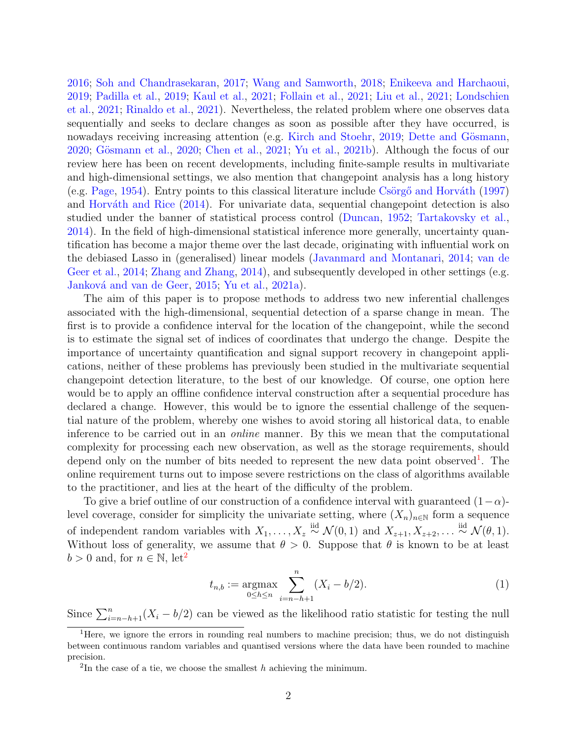[2016;](#page-28-2) [Soh and Chandrasekaran,](#page-30-0) [2017;](#page-30-0) [Wang and Samworth,](#page-30-1) [2018;](#page-30-1) [Enikeeva and Harchaoui,](#page-29-1) [2019;](#page-29-1) [Padilla et al.,](#page-29-2) [2019;](#page-29-2) [Kaul et al.,](#page-29-3) [2021;](#page-29-3) [Follain et al.,](#page-29-4) [2021;](#page-29-4) [Liu et al.,](#page-29-5) [2021;](#page-29-5) [Londschien](#page-29-6) [et al.,](#page-29-6) [2021;](#page-29-6) [Rinaldo et al.,](#page-29-7) [2021\)](#page-29-7). Nevertheless, the related problem where one observes data sequentially and seeks to declare changes as soon as possible after they have occurred, is nowadays receiving increasing attention (e.g. [Kirch and Stoehr,](#page-29-8) [2019;](#page-29-8) Dette and Gösmann, [2020;](#page-29-9) Gösmann et al., 2020; [Chen et al.,](#page-28-4) [2021;](#page-28-4) [Yu et al.,](#page-30-2) [2021b\)](#page-30-2). Although the focus of our review here has been on recent developments, including finite-sample results in multivariate and high-dimensional settings, we also mention that changepoint analysis has a long history (e.g. [Page,](#page-29-10) [1954\)](#page-29-10). Entry points to this classical literature include Csörgő and Horváth [\(1997\)](#page-28-5) and Horváth and Rice  $(2014)$ . For univariate data, sequential changepoint detection is also studied under the banner of statistical process control [\(Duncan,](#page-28-6) [1952;](#page-28-6) [Tartakovsky et al.,](#page-30-3) [2014\)](#page-30-3). In the field of high-dimensional statistical inference more generally, uncertainty quantification has become a major theme over the last decade, originating with influential work on the debiased Lasso in (generalised) linear models [\(Javanmard and Montanari,](#page-29-12) [2014;](#page-29-12) [van de](#page-30-4) [Geer et al.,](#page-30-4) [2014;](#page-30-4) [Zhang and Zhang,](#page-30-5) [2014\)](#page-30-5), and subsequently developed in other settings (e.g. Janková and van de Geer, [2015;](#page-29-13) [Yu et al.,](#page-30-6) [2021a\)](#page-30-6).

The aim of this paper is to propose methods to address two new inferential challenges associated with the high-dimensional, sequential detection of a sparse change in mean. The first is to provide a confidence interval for the location of the changepoint, while the second is to estimate the signal set of indices of coordinates that undergo the change. Despite the importance of uncertainty quantification and signal support recovery in changepoint applications, neither of these problems has previously been studied in the multivariate sequential changepoint detection literature, to the best of our knowledge. Of course, one option here would be to apply an offline confidence interval construction after a sequential procedure has declared a change. However, this would be to ignore the essential challenge of the sequential nature of the problem, whereby one wishes to avoid storing all historical data, to enable inference to be carried out in an online manner. By this we mean that the computational complexity for processing each new observation, as well as the storage requirements, should depend only on the number of bits needed to represent the new data point observed<sup>[1](#page-1-0)</sup>. The online requirement turns out to impose severe restrictions on the class of algorithms available to the practitioner, and lies at the heart of the difficulty of the problem.

To give a brief outline of our construction of a confidence interval with guaranteed  $(1-\alpha)$ level coverage, consider for simplicity the univariate setting, where  $(X_n)_{n\in\mathbb{N}}$  form a sequence of independent random variables with  $X_1, \ldots, X_z \stackrel{\text{iid}}{\sim} \mathcal{N}(0, 1)$  and  $X_{z+1}, X_{z+2}, \ldots \stackrel{\text{iid}}{\sim} \mathcal{N}(\theta, 1)$ . Without loss of generality, we assume that  $\theta > 0$ . Suppose that  $\theta$  is known to be at least  $b > 0$  and, for  $n \in \mathbb{N}$ , let<sup>[2](#page-1-1)</sup>

<span id="page-1-2"></span>
$$
t_{n,b} := \underset{0 \le h \le n}{\text{argmax}} \sum_{i=n-h+1}^{n} (X_i - b/2). \tag{1}
$$

Since  $\sum_{i=n-h+1}^{n}(X_i - b/2)$  can be viewed as the likelihood ratio statistic for testing the null

<span id="page-1-0"></span><sup>&</sup>lt;sup>1</sup>Here, we ignore the errors in rounding real numbers to machine precision; thus, we do not distinguish between continuous random variables and quantised versions where the data have been rounded to machine precision.

<span id="page-1-1"></span><sup>&</sup>lt;sup>2</sup>In the case of a tie, we choose the smallest  $h$  achieving the minimum.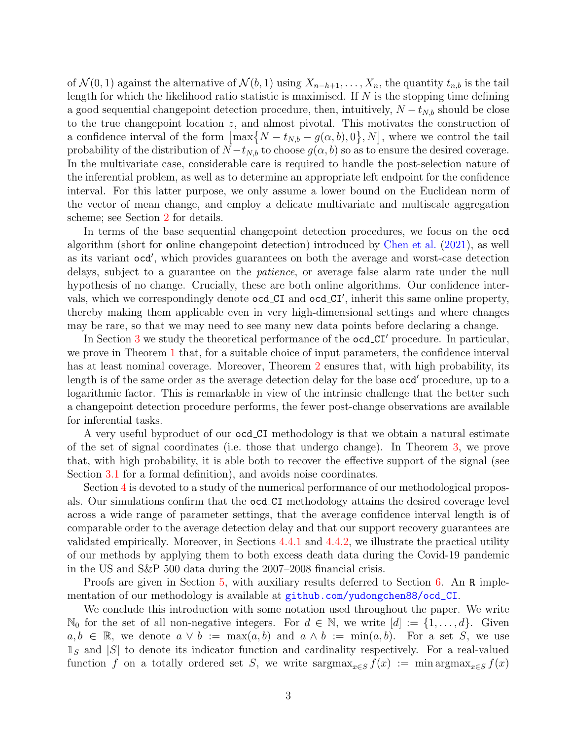of  $\mathcal{N}(0, 1)$  against the alternative of  $\mathcal{N}(b, 1)$  using  $X_{n-h+1}, \ldots, X_n$ , the quantity  $t_{n,b}$  is the tail length for which the likelihood ratio statistic is maximised. If  $N$  is the stopping time defining a good sequential changepoint detection procedure, then, intuitively,  $N - t_{N,b}$  should be close to the true changepoint location z, and almost pivotal. This motivates the construction of a confidence interval of the form  $\left[\max\{N - t_{N,b} - g(\alpha, b), 0\}, N\right]$ , where we control the tail probability of the distribution of  $N - t_{N,b}$  to choose  $g(\alpha, b)$  so as to ensure the desired coverage. In the multivariate case, considerable care is required to handle the post-selection nature of the inferential problem, as well as to determine an appropriate left endpoint for the confidence interval. For this latter purpose, we only assume a lower bound on the Euclidean norm of the vector of mean change, and employ a delicate multivariate and multiscale aggregation scheme; see Section [2](#page-3-0) for details.

In terms of the base sequential changepoint detection procedures, we focus on the ocd algorithm (short for online changepoint detection) introduced by [Chen et al.](#page-28-4) [\(2021\)](#page-28-4), as well as its variant ocd', which provides guarantees on both the average and worst-case detection delays, subject to a guarantee on the patience, or average false alarm rate under the null hypothesis of no change. Crucially, these are both online algorithms. Our confidence intervals, which we correspondingly denote ocd\_CI and ocd\_CI', inherit this same online property, thereby making them applicable even in very high-dimensional settings and where changes may be rare, so that we may need to see many new data points before declaring a change.

In Section [3](#page-6-0) we study the theoretical performance of the  $\text{gcd\_CI}'$  procedure. In particular, we prove in Theorem [1](#page-6-1) that, for a suitable choice of input parameters, the confidence interval has at least nominal coverage. Moreover, Theorem [2](#page-6-2) ensures that, with high probability, its length is of the same order as the average detection delay for the base ocd' procedure, up to a logarithmic factor. This is remarkable in view of the intrinsic challenge that the better such a changepoint detection procedure performs, the fewer post-change observations are available for inferential tasks.

A very useful byproduct of our ocd CI methodology is that we obtain a natural estimate of the set of signal coordinates (i.e. those that undergo change). In Theorem [3,](#page-8-0) we prove that, with high probability, it is able both to recover the effective support of the signal (see Section [3.1](#page-6-3) for a formal definition), and avoids noise coordinates.

Section [4](#page-8-1) is devoted to a study of the numerical performance of our methodological proposals. Our simulations confirm that the ocd CI methodology attains the desired coverage level across a wide range of parameter settings, that the average confidence interval length is of comparable order to the average detection delay and that our support recovery guarantees are validated empirically. Moreover, in Sections [4.4.1](#page-12-0) and [4.4.2,](#page-14-0) we illustrate the practical utility of our methods by applying them to both excess death data during the Covid-19 pandemic in the US and S&P 500 data during the 2007–2008 financial crisis.

Proofs are given in Section [5,](#page-15-0) with auxiliary results deferred to Section [6.](#page-22-0) An R implementation of our methodology is available at [github.com/yudongchen88/ocd\\_CI](github.com/yudongchen88/ocd_CI).

We conclude this introduction with some notation used throughout the paper. We write  $\mathbb{N}_0$  for the set of all non-negative integers. For  $d \in \mathbb{N}$ , we write  $[d] := \{1, \ldots, d\}$ . Given  $a, b \in \mathbb{R}$ , we denote  $a \vee b := \max(a, b)$  and  $a \wedge b := \min(a, b)$ . For a set S, we use  $\mathbb{1}_S$  and  $|S|$  to denote its indicator function and cardinality respectively. For a real-valued function f on a totally ordered set S, we write sargmax<sub>x∈S</sub>  $f(x) := \min \arg \max_{x \in S} f(x)$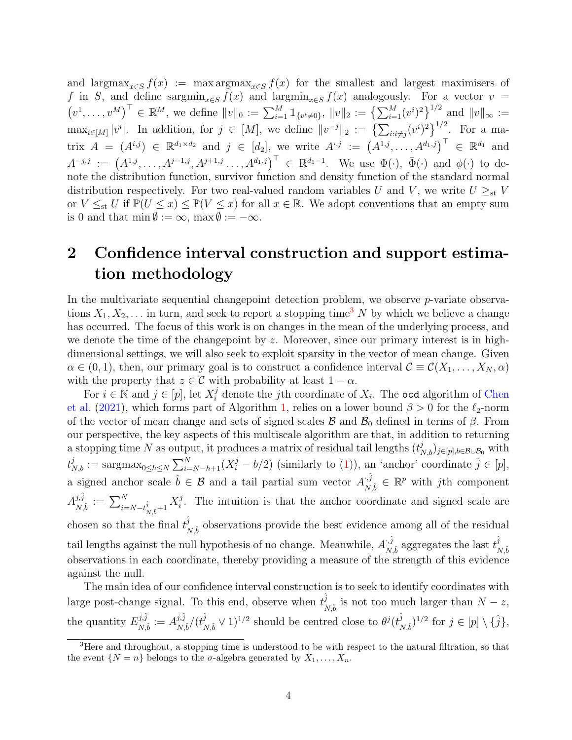and largmax<sub>x∈S</sub>  $f(x) := \max \arg \max_{x \in S} f(x)$  for the smallest and largest maximisers of f in S, and define sargmin<sub>x∈S</sub>  $f(x)$  and largmin<sub>x∈S</sub>  $f(x)$  analogously. For a vector  $v =$  $(v^1,\ldots,v^M)^\top \in \mathbb{R}^M$ , we define  $||v||_0 := \sum_{i=1}^M \mathbb{1}_{\{v^i\neq 0\}}, ||v||_2 := \left\{\sum_{i=1}^M (v^i)^2\right\}^{1/2}$  and  $||v||_{\infty} :=$  $\max_{i\in[M]}|v^i|$ . In addition, for  $j\in[M]$ , we define  $||v^{-j}||_2 := \left\{\sum_{i:i\neq j}(v^i)^2\right\}^{1/2}$ . For a matrix  $A = (A^{i,j}) \in \mathbb{R}^{d_1 \times d_2}$  and  $j \in [d_2]$ , we write  $A^{\cdot,j} := (A^{1,j}, \ldots, A^{d_1,j})^{\top} \in \mathbb{R}^{d_1}$  and  $A^{-j,j} := (A^{1,j}, \ldots, A^{j-1,j}, A^{j+1,j}, \ldots, A^{d_1,j})^{\top} \in \mathbb{R}^{d_1-1}$ . We use  $\Phi(\cdot)$ ,  $\bar{\Phi}(\cdot)$  and  $\phi(\cdot)$  to denote the distribution function, survivor function and density function of the standard normal distribution respectively. For two real-valued random variables U and V, we write  $U \geq_{st} V$ or  $V \leq_{st} U$  if  $\mathbb{P}(U \leq x) \leq \mathbb{P}(V \leq x)$  for all  $x \in \mathbb{R}$ . We adopt conventions that an empty sum is 0 and that min  $\emptyset := \infty$ , max  $\emptyset := -\infty$ .

# <span id="page-3-0"></span>2 Confidence interval construction and support estimation methodology

In the multivariate sequential changepoint detection problem, we observe  $p$ -variate observations  $X_1, X_2, \ldots$  in turn, and seek to report a stopping time<sup>[3](#page-3-1)</sup> N by which we believe a change has occurred. The focus of this work is on changes in the mean of the underlying process, and we denote the time of the changepoint by z. Moreover, since our primary interest is in highdimensional settings, we will also seek to exploit sparsity in the vector of mean change. Given  $\alpha \in (0,1)$ , then, our primary goal is to construct a confidence interval  $\mathcal{C} \equiv \mathcal{C}(X_1,\ldots,X_N,\alpha)$ with the property that  $z \in \mathcal{C}$  with probability at least  $1 - \alpha$ .

For  $i \in \mathbb{N}$  and  $j \in [p]$ , let  $X_i^j$  denote the j<sup>th</sup> coordinate of  $X_i$ . The ocd algorithm of [Chen](#page-28-4) [et al.](#page-28-4) [\(2021\)](#page-28-4), which forms part of Algorithm [1,](#page-5-0) relies on a lower bound  $\beta > 0$  for the  $\ell_2$ -norm of the vector of mean change and sets of signed scales  $\mathcal{B}$  and  $\mathcal{B}_0$  defined in terms of  $\beta$ . From our perspective, the key aspects of this multiscale algorithm are that, in addition to returning a stopping time N as output, it produces a matrix of residual tail lengths  $(t_{N,b}^j)_{j\in[p],b\in\mathcal{B}\cup\mathcal{B}_0}$  with  $t_{N,b}^j := \operatorname{sargmax}_{0 \leq h \leq N} \sum_{i=N-h+1}^N (X_i^j - b/2)$  (similarly to [\(1\)](#page-1-2)), an 'anchor' coordinate  $\hat{j} \in [p],$ a signed anchor scale  $\hat{b} \in \mathcal{B}$  and a tail partial sum vector  $A_{\mathcal{N}}^{i, \hat{j}}$  $\forall \vec{y}, \hat{i} \in \mathbb{R}^p$  with jth component  $A_{\scriptscriptstyle\mathcal{M}}^{j,\hat{j}}$  $\frac{\dot{j}\hat{j}}{N\hat{b}}:=\sum_{i=N-t}\^{N}\hat{j}$  $_{\overset{\hat{j}}{N},\hat{b}+1}X_{i}^{j}$  $i$ . The intuition is that the anchor coordinate and signed scale are chosen so that the final  $t^{\hat{j}}_{\lambda}$  $N, \hat{b}$  observations provide the best evidence among all of the residual tail lengths against the null hypothesis of no change. Meanwhile,  $A_{\mathcal{N}}^{(\hat{j})}$  $\hat{h}_{N,\hat{b}}^{\hat{j}}$  aggregates the last  $t_{N}^{\hat{j}}$  $N, \hat{b}$ observations in each coordinate, thereby providing a measure of the strength of this evidence against the null.

The main idea of our confidence interval construction is to seek to identify coordinates with large post-change signal. To this end, observe when  $t_i^{\hat{j}}$  $_{N,\hat{b}}^j$  is not too much larger than  $N - z$ , the quantity  $E_{N}^{j,\hat{j}}$  $\hat{A}^{j,\hat{j}}_{N,\hat{b}}:=A^{j,\hat{j}}_{N,\hat{j}}$  $_{N,\hat{b}}^{j,\hat{j}}/(t_{I}^{\hat{j}}% ,\epsilon_{I}^{j,\hat{\gamma}}(t_{I}^{\hat{\gamma}}))$  $(\hat{j}_{N,\hat{b}} \vee 1)^{1/2}$  should be centred close to  $\theta^j(t^{\hat{j}}_N)$  $(\hat{j}_{N,\hat{b}})^{1/2}$  for  $j \in [p] \setminus {\hat{j}}$ ,

<span id="page-3-1"></span><sup>&</sup>lt;sup>3</sup>Here and throughout, a stopping time is understood to be with respect to the natural filtration, so that the event  $\{N = n\}$  belongs to the  $\sigma$ -algebra generated by  $X_1, \ldots, X_n$ .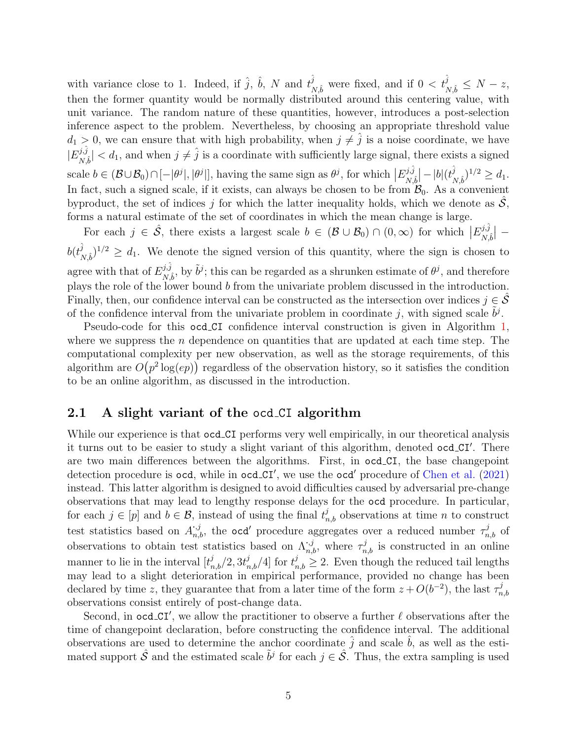with variance close to 1. Indeed, if  $\hat{j}$ ,  $\hat{b}$ , N and  $t^{\hat{j}}$  $\hat{j}$ <sub>N,</sub> $\hat{b}$  were fixed, and if  $0 < t<sub>N</sub>$ <sup> $\hat{j}$ </sup>  $\frac{\partial}{\partial N,\hat{b}} \leq N-z,$ then the former quantity would be normally distributed around this centering value, with unit variance. The random nature of these quantities, however, introduces a post-selection inference aspect to the problem. Nevertheless, by choosing an appropriate threshold value  $d_1 > 0$ , we can ensure that with high probability, when  $j \neq \hat{j}$  is a noise coordinate, we have  $|E_{\scriptscriptstyle \cal M}^{j,\hat{j}}|$  $\frac{d^j}{dx^j}$   $\leq d_1$ , and when  $j \neq \hat{j}$  is a coordinate with sufficiently large signal, there exists a signed scale  $b \in (\mathcal{B} \cup \mathcal{B}_0) \cap [-|\theta^j|, |\theta^j|]$ , having the same sign as  $\theta^j$ , for which  $|E_{N,i}^{j,\hat{j}}|$  $\frac{d\hat{\beta}}{N\hat{\beta}}\big| - |b|(t_{N}^{\hat{\jmath}})$  $_{N,\hat{b}}^{j})^{1/2}\geq d_{1}.$ In fact, such a signed scale, if it exists, can always be chosen to be from  $\mathcal{B}_0$ . As a convenient byproduct, the set of indices j for which the latter inequality holds, which we denote as  $S$ , forms a natural estimate of the set of coordinates in which the mean change is large.

For each  $j \in \hat{\mathcal{S}}$ , there exists a largest scale  $b \in (\mathcal{B} \cup \mathcal{B}_0) \cap (0, \infty)$  for which  $|E_{N,i}^{j,\hat{j}}|$  $\frac{d^{j,j}}{N,\hat{b}}$   $\vert$   $$  $b(t^{\hat{j}}_{\cdot}$  $\sum_{N,\hat{b}}^{j}$   $\geq d_1$ . We denote the signed version of this quantity, where the sign is chosen to agree with that of  $E_{\text{M}i}^{j,\hat{j}}$  $\delta^{j, \tilde{j}}_{N, \hat{b}}$ , by  $\tilde{b}^{j}$ ; this can be regarded as a shrunken estimate of  $\theta^{j}$ , and therefore plays the role of the lower bound b from the univariate problem discussed in the introduction. Finally, then, our confidence interval can be constructed as the intersection over indices  $j \in \mathcal{S}$ of the confidence interval from the univariate problem in coordinate j, with signed scale  $\tilde{b}^j$ .

Pseudo-code for this ocd CI confidence interval construction is given in Algorithm [1,](#page-5-0) where we suppress the *n* dependence on quantities that are updated at each time step. The computational complexity per new observation, as well as the storage requirements, of this algorithm are  $O(p^2 \log(ep))$  regardless of the observation history, so it satisfies the condition to be an online algorithm, as discussed in the introduction.

## <span id="page-4-0"></span>2.1 A slight variant of the ocd CI algorithm

While our experience is that  $\text{gcd\_CI}$  performs very well empirically, in our theoretical analysis it turns out to be easier to study a slight variant of this algorithm, denoted ocd\_CI'. There are two main differences between the algorithms. First, in ocd CI, the base changepoint detection procedure is ocd, while in ocd\_CI', we use the ocd' procedure of [Chen et al.](#page-28-4) [\(2021\)](#page-28-4) instead. This latter algorithm is designed to avoid difficulties caused by adversarial pre-change observations that may lead to lengthy response delays for the ocd procedure. In particular, for each  $j \in [p]$  and  $b \in \mathcal{B}$ , instead of using the final  $t_{n,b}^j$  observations at time n to construct test statistics based on  $A_{n,b}^{.,j}$ , the ocd' procedure aggregates over a reduced number  $\tau_{n,b}^j$  of observations to obtain test statistics based on  $\Lambda_{n,b}^{j,j}$ , where  $\tau_{n,b}^{j}$  is constructed in an online manner to lie in the interval  $[t_{n,b}^j/2, 3t_{n,b}^j/4]$  for  $t_{n,b}^j \geq 2$ . Even though the reduced tail lengths may lead to a slight deterioration in empirical performance, provided no change has been declared by time z, they guarantee that from a later time of the form  $z + O(b^{-2})$ , the last  $\tau_n^j$  $_{n,b}$ observations consist entirely of post-change data.

Second, in ocd\_CI', we allow the practitioner to observe a further  $\ell$  observations after the time of changepoint declaration, before constructing the confidence interval. The additional observations are used to determine the anchor coordinate  $\hat{i}$  and scale  $\hat{b}$ , as well as the estimated support  $\hat{S}$  and the estimated scale  $\tilde{b}^j$  for each  $j \in \hat{S}$ . Thus, the extra sampling is used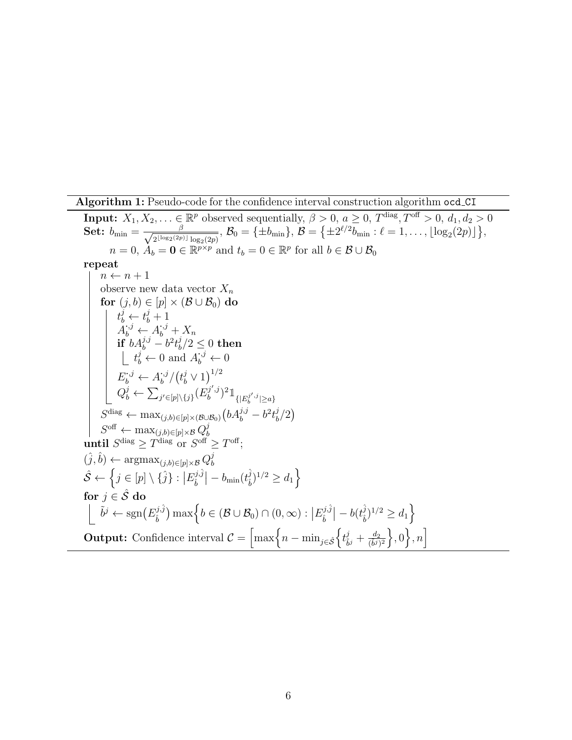**Algorithm 1:** Pseudo-code for the confidence interval construction algorithm ocd\_CI

<span id="page-5-0"></span>**Input:**  $X_1, X_2, \ldots \in \mathbb{R}^p$  observed sequentially,  $\beta > 0$ ,  $a \ge 0$ ,  $T^{\text{diag}}, T^{\text{off}} > 0$ ,  $d_1, d_2 > 0$ Set:  $b_{\min} = \frac{\beta}{\sqrt{\text{else}(2n)}}$  $\frac{\beta}{2^{\lfloor \log_2(2p) \rfloor}\log_2(2p)},$   $\mathcal{B}_0 = \{\pm b_{\min}\},$   $\mathcal{B} = \big\{\pm 2^{\ell/2}b_{\min}: \ell = 1,\ldots,\lfloor \log_2(2p) \rfloor\big\},$  $n = 0, \, \dot{A}_b = \mathbf{0} \in \mathbb{R}^{p \times p}$  and  $t_b = 0 \in \mathbb{R}^p$  for all  $b \in \mathcal{B} \cup \mathcal{B}_0$ repeat  $n \leftarrow n + 1$ observe new data vector  $X_n$ for  $(j, b) \in [p] \times (\mathcal{B} \cup \mathcal{B}_0)$  do  $t_b^j \leftarrow t_b^j + 1$  $A_b^{j,j} \leftarrow A_b^{j,j} + X_n$  $\textbf{if} \,\,{}^{\overset{\circ}{b}}\textbf{A}^{j,j}_b-\textbf{b}^2\textbf{t}^j_b$  $\frac{\partial}{\partial b}/2 \leq 0 \; {\rm then}$  $t_b^j \leftarrow 0$  and  $A_b^{j,j} \leftarrow 0$  $E_b^{\cdot,j} \leftarrow A_b^{\cdot,j}$  $\dot{\vec{b}}^{j}/\big(\vec{t_{b}}\vee 1\big)^{1/2}$  $Q_b^j \leftarrow \sum_{j' \in [p] \setminus \{j\}} (E_b^{j',j})$  $(\bar{y}',j)^2 1\!\!1_{\{|E_b^{j',j}|\geq a\}}$  $S^{\text{diag}} \leftarrow \max_{(j,b)\in [p] \times (\mathcal{B} \cup \mathcal{B}_0)} \left( b A_b^{j,j} - b^2 t_b^j \right)$  $\binom{j}{b}$  $S^{\text{off}} \leftarrow \max_{(j,b)\in [p]\times\mathcal{B}} Q_b^j$ j until  $S^{\text{diag}} \geq T^{\text{diag}}$  or  $S^{\text{off}} \geq T^{\text{off}}$ ;  $(\hat{j}, \hat{b}) \leftarrow \operatorname{argmax}_{(j,b)\in [p]\times \mathcal{B}} Q_b^j$ b  $\hat{\mathcal{S}} \leftarrow \left\{ j \in [p] \setminus \{\hat{j}\}: \left|E^{j, \hat{j}}_{\hat{b}} \right.$  $\frac{\partial \hat{j}\hat{j}}{\hat{b}}\big|-b_{\rm min}(t_{\hat{b}}^{\hat{j}})$  $(\hat{j}_b)^{1/2}\geq d_1\Big\}$ for  $j \in \hat{\mathcal{S}}$  do  $\tilde{b}^j \leftarrow \text{sgn}(E_i^{j,\hat{j}})$  $\widehat{b}^{(j,\hat{j})}$  max $\Big\{b\in(\mathcal{B}\cup\mathcal{B}_0)\cap(0,\infty):\big|E^{j,\hat{j}}_{\hat{b}}\big\}$  $\begin{vmatrix} \hat{b}^{\hat{j},\hat{j}} \end{vmatrix} - b(t_{\hat{b}}^{\hat{j}})$  $(\hat{j}_b)^{1/2} \geq d_1$ **Output:** Confidence interval  $\mathcal{C} = \left[\max\left\{n - \min_{j \in \hat{\mathcal{S}}}\left\{t_{\tilde{b}}^j\right\}\right]\right]$  $\left\{\frac{\dot{g}}{\tilde{b}^j} + \frac{d_2}{(\tilde{b}^j)^2}\right\}, 0 \right\}, n\right]$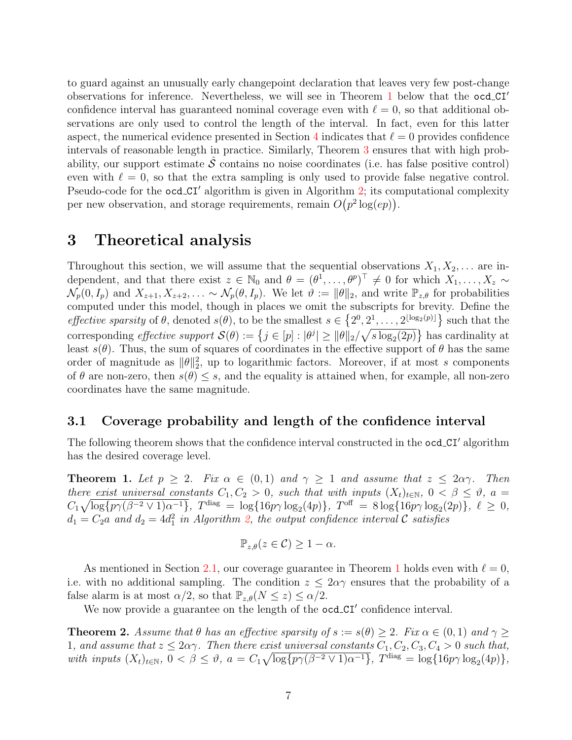to guard against an unusually early changepoint declaration that leaves very few post-change observations for inference. Nevertheless, we will see in Theorem [1](#page-6-1) below that the  $\text{ocd}_\text{C}I'$ confidence interval has guaranteed nominal coverage even with  $\ell = 0$ , so that additional observations are only used to control the length of the interval. In fact, even for this latter aspect, the numerical evidence presented in Section [4](#page-8-1) indicates that  $\ell = 0$  provides confidence intervals of reasonable length in practice. Similarly, Theorem [3](#page-8-0) ensures that with high probability, our support estimate  $\hat{\mathcal{S}}$  contains no noise coordinates (i.e. has false positive control) even with  $\ell = 0$ , so that the extra sampling is only used to provide false negative control. Pseudo-code for the ocd CI<sup>'</sup> algorithm is given in Algorithm [2;](#page-7-0) its computational complexity per new observation, and storage requirements, remain  $O(p^2 \log(ep))$ .

# <span id="page-6-0"></span>3 Theoretical analysis

Throughout this section, we will assume that the sequential observations  $X_1, X_2, \ldots$  are independent, and that there exist  $z \in \mathbb{N}_0$  and  $\theta = (\theta^1, \dots, \theta^p)^\top \neq 0$  for which  $X_1, \dots, X_z \sim$  $\mathcal{N}_p(0, I_p)$  and  $X_{z+1}, X_{z+2}, \ldots \sim \mathcal{N}_p(\theta, I_p)$ . We let  $\vartheta := \|\theta\|_2$ , and write  $\mathbb{P}_{z,\theta}$  for probabilities computed under this model, though in places we omit the subscripts for brevity. Define the *effective sparsity* of  $\theta$ , denoted  $s(\theta)$ , to be the smallest  $s \in \{2^0, 2^1, \ldots, 2^{\lfloor \log_2(p) \rfloor} \}$  such that the corresponding *effective support*  $\mathcal{S}(\theta) := \{j \in [p] : |\theta^j| \ge ||\theta||_2 / \sqrt{s \log_2(2p)}\}$  has cardinality at least  $s(\theta)$ . Thus, the sum of squares of coordinates in the effective support of  $\theta$  has the same order of magnitude as  $\|\theta\|_2^2$ , up to logarithmic factors. Moreover, if at most s components of  $\theta$  are non-zero, then  $s(\theta) \leq s$ , and the equality is attained when, for example, all non-zero coordinates have the same magnitude.

## <span id="page-6-3"></span>3.1 Coverage probability and length of the confidence interval

The following theorem shows that the confidence interval constructed in the **ocd\_CI'** algorithm has the desired coverage level.

<span id="page-6-1"></span>**Theorem 1.** Let  $p \geq 2$ . Fix  $\alpha \in (0,1)$  and  $\gamma \geq 1$  and assume that  $z \leq 2\alpha\gamma$ . Then there exist universal constants  $C_1, C_2 > 0$ , such that with inputs  $(X_t)_{t \in \mathbb{N}}$ ,  $0 < \beta \leq \vartheta$ ,  $a =$  $C_1\sqrt{\log\{p\gamma(\beta^{-2}\vee 1)\alpha^{-1}\}}, T^{\text{diag}} = \log\{16p\gamma \log_2(4p)\}, T^{\text{off}} = 8\log\{16p\gamma \log_2(2p)\}, \ell \ge 0,$  $d_1 = C_2a$  and  $d_2 = 4d_1^2$  in Algorithm [2,](#page-7-0) the output confidence interval C satisfies

$$
\mathbb{P}_{z,\theta}(z \in \mathcal{C}) \ge 1 - \alpha.
$$

As mentioned in Section [2.1,](#page-4-0) our coverage guarantee in Theorem [1](#page-6-1) holds even with  $\ell = 0$ , i.e. with no additional sampling. The condition  $z \leq 2\alpha\gamma$  ensures that the probability of a false alarm is at most  $\alpha/2$ , so that  $\mathbb{P}_{z,\theta}(N \leq z) \leq \alpha/2$ .

We now provide a guarantee on the length of the ocd\_CI' confidence interval.

<span id="page-6-2"></span>**Theorem 2.** Assume that  $\theta$  has an effective sparsity of  $s := s(\theta) \geq 2$ . Fix  $\alpha \in (0,1)$  and  $\gamma \geq 0$ 1, and assume that  $z \leq 2\alpha\gamma$ . Then there exist universal constants  $C_1, C_2, C_3, C_4 > 0$  such that, with inputs  $(X_t)_{t \in \mathbb{N}}$ ,  $0 < \beta \leq \vartheta$ ,  $a = C_1 \sqrt{\log\{p\gamma(\beta^{-2} \vee 1)\alpha^{-1}\}}, T^{\text{diag}} = \log\{16p\gamma \log_2(4p)\},$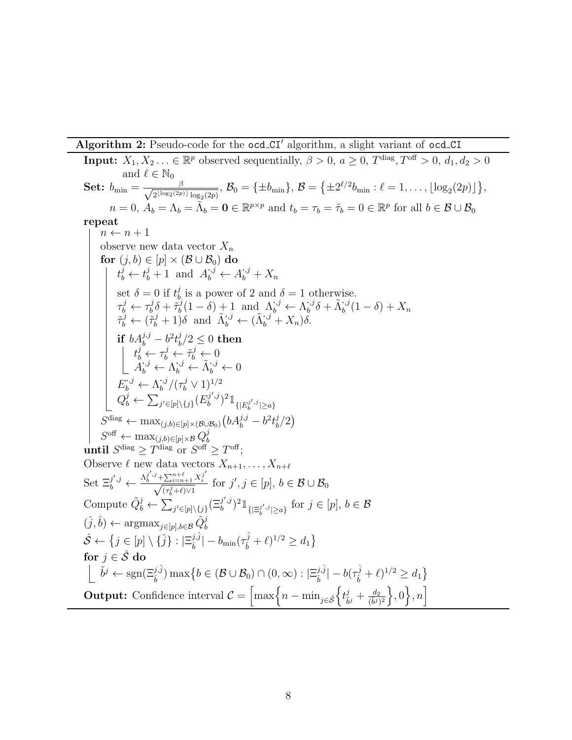Algorithm 2: Pseudo-code for the ocd  $\mathbb{C}I'$  algorithm, a slight variant of ocd  $\mathbb{C}I$ 

<span id="page-7-0"></span>**Input:**  $X_1, X_2, \ldots \in \mathbb{R}^p$  observed sequentially,  $\beta > 0$ ,  $a \ge 0$ ,  $T^{\text{diag}}, T^{\text{off}} > 0$ ,  $d_1, d_2 > 0$ and  $\ell \in \mathbb{N}_0$ Set:  $b_{\min} = \frac{\beta}{\sqrt{\text{else}(2n)}}$  $\frac{\beta}{2^{\lfloor \log_2(2p) \rfloor}\log_2(2p)},$   $\mathcal{B}_0 = \{\pm b_{\min}\},$   $\mathcal{B} = \big\{\pm 2^{\ell/2}b_{\min}: \ell = 1,\ldots,\lfloor \log_2(2p) \rfloor\big\},$  $n = 0, A_b = \Lambda_b = \tilde{\Lambda}_b = \mathbf{0} \in \mathbb{R}^{p \times p}$  and  $t_b = \tau_b = \tilde{\tau}_b = 0 \in \mathbb{R}^p$  for all  $b \in \mathcal{B} \cup \mathcal{B}_0$ repeat  $n \leftarrow n + 1$ observe new data vector  $X_n$  $\mathbf{for}\,\left(j,b\right)\in\left[p\right]\times\left(\mathcal{B}\cup\mathcal{B}_{0}\right)\,\mathbf{do}$  $t_b^j \leftarrow t_b^j + 1$  and  $A_b^{j,j} \leftarrow A_b^{j,j} + X_n$ set  $\delta = 0$  if  $t_h^j$  $\delta_b$  is a power of 2 and  $\delta = 1$  otherwise.  $\tau_b^j \leftarrow \tau_b^j$  $\tilde{b}^j_0\delta+\tilde{\tau}^j_b$  $\Lambda_b^{j}(1-\delta) + 1$  and  $\Lambda_b^{j,j} \leftarrow \Lambda_b^{j,j}$  $\tilde{\Lambda}_b^{,j}\delta+\tilde{\Lambda}_b^{,j}(1-\delta)+X_n$  $\tilde{\tau}_b^j \leftarrow (\tilde{\tau}_b^j + 1)\delta \text{ and } \tilde{\Lambda}_b^{j} \leftarrow (\tilde{\Lambda}_b^{j} + X_n)\delta.$ if  $bA_b^{j,j} - b^2t_b^j$  $\frac{\partial}{\partial b}/2 \leq 0 \; {\rm then}$  $t_b^j \leftarrow \tau_b^j \leftarrow \tilde{\tau}_b^j \leftarrow 0$  $\check{A}^{\cdot,j}_b \leftarrow \check{\Lambda}^{\cdot,j}_b \leftarrow \tilde{\Lambda}^{\cdot,j}_b \leftarrow 0$  $E_b^{:,j} \leftarrow \Lambda_b^{:,j}$  $b^{i,j}/(\tau_b^j \vee 1)^{1/2}$  $Q_b^j \leftarrow \sum_{j' \in [p] \setminus \{j\}} (E_b^{j',j})$  $(\bar{y}',j)^2 \mathbb{1}_{\{ |E_b^{j',j}| \geq a \}}$  $S^{\text{diag}} \leftarrow \max_{(j,b) \in [p] \times (\mathcal{B} \cup \mathcal{B}_0)} \left( b A_b^{j,j} - b^2 t_b^j \right)$  $\binom{j}{b}$  $S^{\text{off}} \leftarrow \max_{(j,b)\in [p]\times\mathcal{B}} Q_b^j$ b until  $S^{\text{diag}} \geq T^{\text{diag}}$  or  $S^{\text{off}} \geq T^{\text{off}}$ ; Observe  $\ell$  new data vectors  $X_{n+1}, \ldots, X_{n+\ell}$ Set  $\Xi_b^{j',j} \leftarrow \frac{\Lambda_b^{j',j} + \sum_{i=n+1}^{n+\ell} X_i^{j'}}{\sqrt{(\tau_b^j + \ell)\vee 1}}$ for  $j', j \in [p], b \in \mathcal{B} \cup \mathcal{B}_0$ Compute  $\tilde{Q}_b^j \leftarrow \sum_{j' \in [p] \setminus \{j\}} (\Xi_b^{j',j})$  $(j',j')^2 \mathbb{1}_{\{\lvert \Xi_b^{j',j} \rvert \geq a\}}$  for  $j \in [p], b \in \mathcal{B}$  $(\hat{j}, \hat{b}) \leftarrow \operatorname{argmax}_{j \in [p], b \in \mathcal{B}} \tilde{Q}_{b}^{j}$  $\hat{\mathcal{S}} \leftarrow \{j \in [p] \setminus \{\hat{j}\}: |\Xi^{j, \hat{j}}_{\hat{\imath}}|$  $\frac{j_{\mathbf{1}}j_{\mathbf{0}}^{\mathbf{0}}}{\hat{b}_{\mathbf{0}}} = b_{\mathrm{min}}(\tau_{\hat{b}}^{\hat{\mathbf{0}}}$  $\{\hat{b}_i + \ell\}^{1/2} \ge d_1\}$ for  $j \in \hat{\mathcal{S}}$  do  $\tilde{b}^j \leftarrow \text{sgn}(\Xi_b^{j,\hat{j}}) \max\big\{b\in(\mathcal{B}\cup\mathcal{B}_0)\cap(0,\infty):|\Xi_b^{j,\hat{j}}\big)$  $\frac{j\hat{,}\hat{j}}{\hat{b}}|-b(\tau_{\hat{b}}^{\hat{j}}% -\tau_{\hat{b}}^{\hat{j}})$  $(\hat{b}^j + \ell)^{1/2} \ge d_1$ **Output:** Confidence interval  $\mathcal{C} = \left[\max\left\{n - \min_{j \in \hat{\mathcal{S}}}\left\{t_{\tilde{b}}^j\right\}\right]\right]$  $\left\{\frac{\dot{J}}{\tilde{b}^j} + \frac{d_2}{(\tilde{b}^j)^2}\right\}, 0\right\}, n\right]$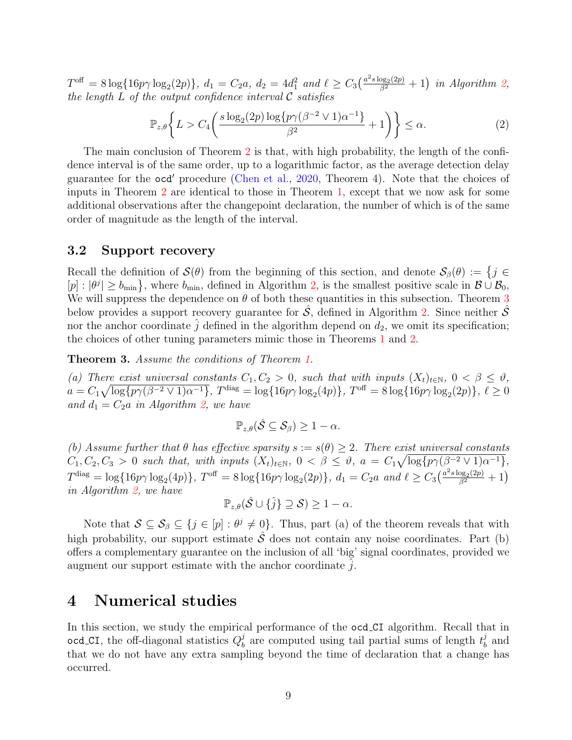$T^{\text{off}} = 8 \log \{ 16p\gamma \log_2(2p) \},\ d_1 = C_2a,\ d_2 = 4d_1^2 \ and \ \ell \geq C_3\left(\frac{a^2 s \log_2(2p)}{\beta^2} + 1\right) \ in \ Algorithm \ 2,$  $T^{\text{off}} = 8 \log \{ 16p\gamma \log_2(2p) \},\ d_1 = C_2a,\ d_2 = 4d_1^2 \ and \ \ell \geq C_3\left(\frac{a^2 s \log_2(2p)}{\beta^2} + 1\right) \ in \ Algorithm \ 2,$ the length  $L$  of the output confidence interval  $\mathcal C$  satisfies

$$
\mathbb{P}_{z,\theta}\bigg\{L > C_4\bigg(\frac{s\log_2(2p)\log\{p\gamma(\beta^{-2}\vee 1)\alpha^{-1}\}}{\beta^2} + 1\bigg)\bigg\} \leq \alpha.
$$
 (2)

The main conclusion of Theorem [2](#page-6-2) is that, with high probability, the length of the confidence interval is of the same order, up to a logarithmic factor, as the average detection delay guarantee for the  $\text{ocd}^{\prime}$  procedure [\(Chen et al.,](#page-28-7) [2020,](#page-28-7) Theorem 4). Note that the choices of inputs in Theorem [2](#page-6-2) are identical to those in Theorem [1,](#page-6-1) except that we now ask for some additional observations after the changepoint declaration, the number of which is of the same order of magnitude as the length of the interval.

#### 3.2 Support recovery

Recall the definition of  $\mathcal{S}(\theta)$  from the beginning of this section, and denote  $\mathcal{S}_{\beta}(\theta) := \{j \in \mathcal{S}(\theta) | j = 1\}$  $[p] : |\theta^j| \ge b_{\min}$ , where  $b_{\min}$ , defined in Algorithm [2,](#page-7-0) is the smallest positive scale in  $\mathcal{B} \cup \mathcal{B}_0$ , We will suppress the dependence on  $\theta$  of both these quantities in this subsection. Theorem [3](#page-8-0) below provides a support recovery guarantee for  $S$ , defined in Algorithm [2.](#page-7-0) Since neither  $S$ nor the anchor coordinate  $\hat{j}$  defined in the algorithm depend on  $d_2$ , we omit its specification; the choices of other tuning parameters mimic those in Theorems [1](#page-6-1) and [2.](#page-6-2)

<span id="page-8-0"></span>Theorem 3. Assume the conditions of Theorem [1.](#page-6-1)

(a) There exist universal constants  $C_1, C_2 > 0$ , such that with inputs  $(X_t)_{t \in \mathbb{N}}$ ,  $0 < \beta \leq \vartheta$ ,  $a = C_1 \sqrt{\log\{p\gamma(\beta^{-2} \vee 1)\alpha^{-1}\}}, T^{\text{diag}} = \log\{16p\gamma \log_2(4p)\}, T^{\text{off}} = 8\log\{16p\gamma \log_2(2p)\}, \ell \ge 0$ and  $d_1 = C_2a$  in Algorithm [2,](#page-7-0) we have

$$
\mathbb{P}_{z,\theta}(\hat{\mathcal{S}} \subseteq \mathcal{S}_{\beta}) \geq 1 - \alpha.
$$

(b) Assume further that  $\theta$  has effective sparsity  $s := s(\theta) \geq 2$ . There exist universal constants  $C_1, C_2, C_3 > 0$  such that, with inputs  $(X_t)_{t \in \mathbb{N}}$ ,  $0 < \beta \leq \vartheta$ ,  $a = C_1 \sqrt{\log\{p\gamma(\beta^{-2} \vee 1)\alpha^{-1}\}},$  $T^{\text{diag}} = \log\{16p\gamma \log_2(4p)\}, T^{\text{off}} = 8\log\{16p\gamma \log_2(2p)\}, d_1 = C_2a \text{ and } \ell \geq C_3\left(\frac{a^2 s \log_2(2p)}{\beta^2} + 1\right)$ in Algorithm [2,](#page-7-0) we have

$$
\mathbb{P}_{z,\theta}(\hat{\mathcal{S}} \cup \{\hat{j}\} \supseteq \mathcal{S}) \geq 1 - \alpha.
$$

Note that  $S \subseteq S_\beta \subseteq \{j \in [p] : \theta^j \neq 0\}$ . Thus, part (a) of the theorem reveals that with high probability, our support estimate  $\hat{\mathcal{S}}$  does not contain any noise coordinates. Part (b) offers a complementary guarantee on the inclusion of all 'big' signal coordinates, provided we augment our support estimate with the anchor coordinate  $\hat{j}$ .

## <span id="page-8-1"></span>4 Numerical studies

In this section, we study the empirical performance of the **ocd CI** algorithm. Recall that in ocd\_CI, the off-diagonal statistics  $Q_b^j$  $b<sub>b</sub>$  are computed using tail partial sums of length  $t<sub>b</sub><sup>j</sup>$  $\frac{J}{b}$  and that we do not have any extra sampling beyond the time of declaration that a change has occurred.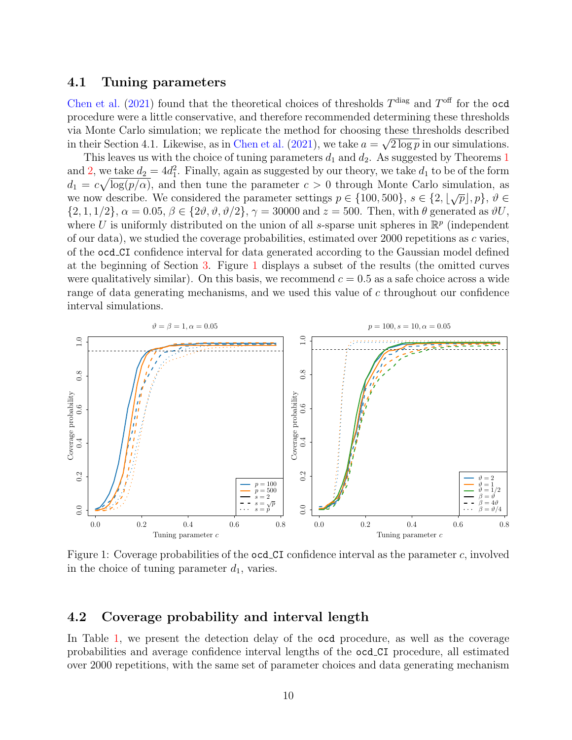## <span id="page-9-1"></span>4.1 Tuning parameters

[Chen et al.](#page-28-4) [\(2021\)](#page-28-4) found that the theoretical choices of thresholds  $T^{\text{diag}}$  and  $T^{\text{off}}$  for the ocd procedure were a little conservative, and therefore recommended determining these thresholds via Monte Carlo simulation; we replicate the method for choosing these thresholds described in their Section 4.1. Likewise, as in [Chen et al.](#page-28-4) [\(2021\)](#page-28-4), we take  $a = \sqrt{2 \log p}$  in our simulations.

This leaves us with the choice of tuning parameters  $d_1$  $d_1$  and  $d_2$ . As suggested by Theorems 1 and [2,](#page-6-2) we take  $d_2 = 4d_1^2$ . Finally, again as suggested by our theory, we take  $d_1$  to be of the form  $d_1 = c\sqrt{\log(p/\alpha)}$ , and then tune the parameter  $c > 0$  through Monte Carlo simulation, as we now describe. We considered the parameter settings  $p \in \{100, 500\}, s \in \{2, \lfloor \sqrt{p} \rfloor, p\}, \vartheta \in$  $\{2, 1, 1/2\}, \alpha = 0.05, \beta \in \{2\vartheta, \vartheta, \vartheta/2\}, \gamma = 30000 \text{ and } z = 500. \text{ Then, with } \theta \text{ generated as } \vartheta U,$ where U is uniformly distributed on the union of all s-sparse unit spheres in  $\mathbb{R}^p$  (independent of our data), we studied the coverage probabilities, estimated over 2000 repetitions as  $c$  varies, of the ocd CI confidence interval for data generated according to the Gaussian model defined at the beginning of Section [3.](#page-6-0) Figure [1](#page-9-0) displays a subset of the results (the omitted curves were qualitatively similar). On this basis, we recommend  $c = 0.5$  as a safe choice across a wide range of data generating mechanisms, and we used this value of c throughout our confidence interval simulations.

<span id="page-9-0"></span>

Figure 1: Coverage probabilities of the ocd CI confidence interval as the parameter c, involved in the choice of tuning parameter  $d_1$ , varies.

### 4.2 Coverage probability and interval length

In Table [1,](#page-11-0) we present the detection delay of the ocd procedure, as well as the coverage probabilities and average confidence interval lengths of the ocd CI procedure, all estimated over 2000 repetitions, with the same set of parameter choices and data generating mechanism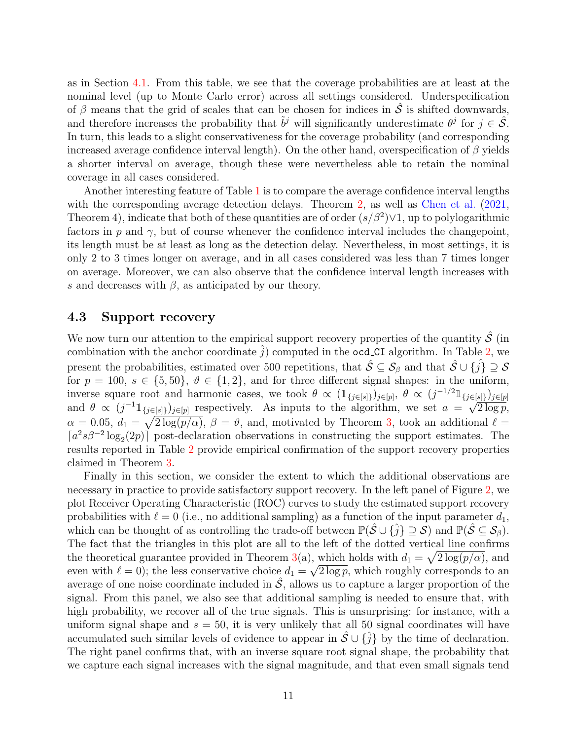as in Section [4.1.](#page-9-1) From this table, we see that the coverage probabilities are at least at the nominal level (up to Monte Carlo error) across all settings considered. Underspecification of β means that the grid of scales that can be chosen for indices in  $\hat{S}$  is shifted downwards, and therefore increases the probability that  $\tilde{b}^j$  will significantly underestimate  $\theta^j$  for  $j \in \mathcal{S}$ . In turn, this leads to a slight conservativeness for the coverage probability (and corresponding increased average confidence interval length). On the other hand, overspecification of  $\beta$  yields a shorter interval on average, though these were nevertheless able to retain the nominal coverage in all cases considered.

Another interesting feature of Table [1](#page-11-0) is to compare the average confidence interval lengths with the corresponding average detection delays. Theorem [2,](#page-6-2) as well as [Chen et al.](#page-28-4)  $(2021, ...)$  $(2021, ...)$ Theorem 4), indicate that both of these quantities are of order  $(s/\beta^2)$   $\vee$  1, up to polylogarithmic factors in p and  $\gamma$ , but of course whenever the confidence interval includes the changepoint, its length must be at least as long as the detection delay. Nevertheless, in most settings, it is only 2 to 3 times longer on average, and in all cases considered was less than 7 times longer on average. Moreover, we can also observe that the confidence interval length increases with s and decreases with  $\beta$ , as anticipated by our theory.

#### 4.3 Support recovery

We now turn our attention to the empirical support recovery properties of the quantity  $\hat{\mathcal{S}}$  (in combination with the anchor coordinate  $\hat{j}$ ) computed in the **ocd\_CI** algorithm. In Table [2,](#page-12-1) we present the probabilities, estimated over 500 repetitions, that  $\hat{S} \subseteq S_\beta$  and that  $\hat{S} \cup {\hat{j}} \supseteq S$ for  $p = 100, s \in \{5, 50\}, \vartheta \in \{1, 2\}$ , and for three different signal shapes: in the uniform, inverse square root and harmonic cases, we took  $\theta \propto (\mathbb{1}_{\{j \in [s]\}})_{j \in [p]}, \theta \propto (j^{-1/2} \mathbb{1}_{\{j \in [s]\}})_{j \in [p]}$ and  $\theta \propto (j^{-1} \mathbb{1}_{\{j \in [s]\}})_{j \in [p]}$  respectively. As inputs to the algorithm, we set  $a = \sqrt{q}$  $\overline{2 \log p},$  $\alpha = 0.05, d_1 = \sqrt{2 \log(p/\alpha)}, \ \beta = \vartheta$ , and, motivated by Theorem [3,](#page-8-0) took an additional  $\ell =$  $[a^2s\beta^{-2}\log_2(2p)]$  post-declaration observations in constructing the support estimates. The results reported in Table [2](#page-12-1) provide empirical confirmation of the support recovery properties claimed in Theorem [3.](#page-8-0)

Finally in this section, we consider the extent to which the additional observations are necessary in practice to provide satisfactory support recovery. In the left panel of Figure [2,](#page-13-0) we plot Receiver Operating Characteristic (ROC) curves to study the estimated support recovery probabilities with  $\ell = 0$  (i.e., no additional sampling) as a function of the input parameter  $d_1$ , which can be thought of as controlling the trade-off between  $\mathbb{P}(\hat{\mathcal{S}} \cup \{\hat{j}\} \supseteq \mathcal{S})$  and  $\mathbb{P}(\hat{\mathcal{S}} \subseteq \mathcal{S}_{\beta})$ . The fact that the triangles in this plot are all to the left of the dotted vertical line confirms the theoretical guarantee provided in Theorem [3\(](#page-8-0)a), which holds with  $d_1 = \sqrt{2 \log(p/\alpha)}$ , and even with  $\ell = 0$ ); the less conservative choice  $d_1 = \sqrt{2 \log p}$ , which roughly corresponds to an average of one noise coordinate included in  $S$ , allows us to capture a larger proportion of the signal. From this panel, we also see that additional sampling is needed to ensure that, with high probability, we recover all of the true signals. This is unsurprising: for instance, with a uniform signal shape and  $s = 50$ , it is very unlikely that all 50 signal coordinates will have accumulated such similar levels of evidence to appear in  $\hat{S} \cup {\hat{i}}$  by the time of declaration. The right panel confirms that, with an inverse square root signal shape, the probability that we capture each signal increases with the signal magnitude, and that even small signals tend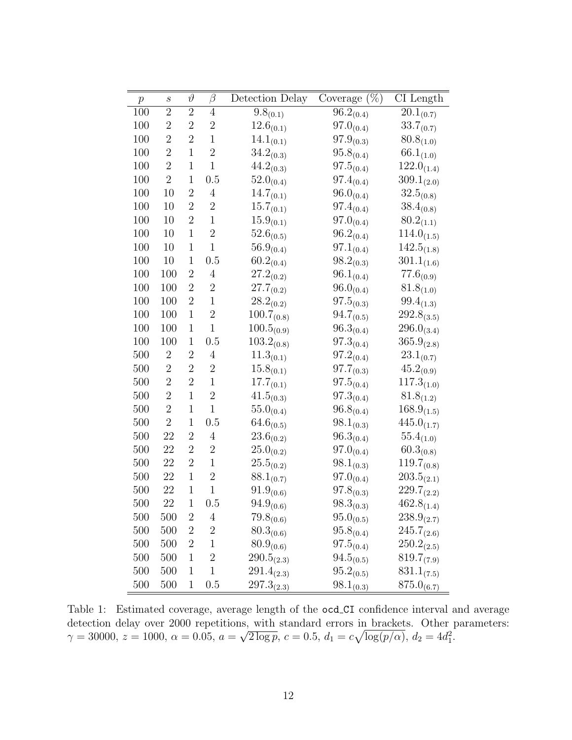<span id="page-11-0"></span>

| $\boldsymbol{p}$ | $\boldsymbol{s}$ | $\vartheta$      | β                | Detection Delay             | $(\%)$<br>Coverage              | $\overline{C}I$ Length    |
|------------------|------------------|------------------|------------------|-----------------------------|---------------------------------|---------------------------|
| 100              | $\overline{2}$   | $\boldsymbol{2}$ | $\overline{4}$   | $9.8_{(0.1)}$               | $\overline{96.2}_{(0.4)}$       | $\overline{2}0.1_{(0.7)}$ |
| 100              | $\overline{2}$   | $\overline{2}$   | $\overline{2}$   | $12.6_{(0.1)}$              | $97.0_{(0.4)}$                  | $33.7_{(0.7)}$            |
| 100              | $\overline{2}$   | $\overline{2}$   | $\mathbf 1$      | $14.1_{(0.1)}$              | $97.9_{\textcolor{red}{(0.3)}}$ | $80.8_{(1.0)}$            |
| 100              | $\overline{2}$   | $\mathbf{1}$     | $\overline{2}$   | $34.2_{(0.3)}$              | $95.8_{(0.4)}$                  | $66.1_{(1.0)}$            |
| 100              | $\sqrt{2}$       | $\mathbf{1}$     | $\mathbf 1$      | $44.2_{(0.3)}$              | $97.5_{(0.4)}$                  | $122.0_{(1.4)}$           |
| 100              | $\overline{2}$   | $\mathbf 1$      | 0.5              | $52.0_{(0.4)}$              | $97.4_{\tiny{(0.4)}}$           | $309.1_{(2.0)}$           |
| 100              | 10               | $\boldsymbol{2}$ | $\overline{4}$   | $14.7_{(0.1)}$              | $96.0_{(0.4)}$                  | $32.5_{(0.8)}$            |
| 100              | 10               | $\overline{2}$   | $\overline{2}$   | $15.7_{\tiny{(0.1)}}$       | $97.4_{(0.4)}$                  | $38.4_{(0.8)}$            |
| 100              | 10               | $\overline{2}$   | $\mathbf{1}$     | $15.9_{\left(0.1\right)}$   | $97.0_{(0.4)}$                  | $80.2_{(1.1)}$            |
| 100              | 10               | $\mathbf{1}$     | $\overline{2}$   | $52.6_{(0.5)}$              | $96.2_{(0.4)}$                  | $114.0_{(1.5)}$           |
| 100              | 10               | $\mathbf 1$      | $\mathbf{1}$     | $56.9_{\left( 0.4 \right)}$ | $97.1_{\tiny{(0.4)}}$           | $142.5_{(1.8)}$           |
| 100              | 10               | $\mathbf 1$      | 0.5              | $60.2_{(0.4)}$              | $98.2_{(0.3)}$                  | $301.1_{(1.6)}$           |
| 100              | 100              | $\boldsymbol{2}$ | $\overline{4}$   | $27.2_{(0.2)}$              | $96.1_{(0.4)}$                  | $77.6_{(0.9)}$            |
| 100              | 100              | $\overline{2}$   | $\overline{2}$   | $27.7_{(0.2)}$              | $96.0_{(0.4)}$                  | $81.8_{(1.0)}$            |
| 100              | 100              | $\boldsymbol{2}$ | 1                | $28.2_{(0.2)}$              | $97.5_{\tiny{(0.3)}}$           | $99.4_{(1.3)}$            |
| 100              | 100              | $1\,$            | $\overline{2}$   | $100.7_{(0.8)}$             | $94.7_{(0.5)}$                  | $292.8_{(3.5)}$           |
| 100              | 100              | $\mathbf 1$      | $\mathbf{1}$     | $100.5_{(0.9)}$             | $96.3_{(0.4)}$                  | $296.0_{(3.4)}$           |
| 100              | 100              | $\mathbf{1}$     | 0.5              | $103.2_{(0.8)}$             | $97.3_{(0.4)}$                  | $365.9_{(2.8)}$           |
| 500              | $\overline{2}$   | $\boldsymbol{2}$ | $\overline{4}$   | $11.3_{\left( 0.1\right) }$ | $97.2_{(0.4)}$                  | $23.1_{(0.7)}$            |
| 500              | $\sqrt{2}$       | $\overline{2}$   | $\overline{2}$   | $15.8_{(0.1)}$              | $97.7_{(0.3)}$                  | $45.2_{(0.9)}$            |
| 500              | $\overline{2}$   | $\overline{2}$   | $\mathbf{1}$     | $17.7_{(0.1)}$              | $97.5_{\tiny{(0.4)}}$           | $117.3_{(1.0)}$           |
| 500              | $\overline{2}$   | $\mathbf{1}$     | $\overline{2}$   | $41.5_{\tiny{(0.3)}}$       | $97.3_{(0.4)}$                  | $81.8_{(1.2)}$            |
| 500              | $\overline{2}$   | $\mathbf{1}$     | $\mathbf{1}$     | $55.0_{(0.4)}$              | $96.8_{(0.4)}$                  | $168.9_{(1.5)}$           |
| 500              | $\overline{2}$   | $\mathbf{1}$     | 0.5              | $64.6_{(0.5)}$              | $98.1_{(0.3)}$                  | $445.0_{(1.7)}$           |
| 500              | 22               | $\overline{2}$   | $\overline{4}$   | $23.6_{(0.2)}$              | $96.3_{\left( 0.4 \right)}$     | $55.4_{(1.0)}$            |
| 500              | 22               | $\boldsymbol{2}$ | $\overline{2}$   | $25.0_{\left( 0.2\right) }$ | $97.0_{(0.4)}$                  | $60.3_{(0.8)}$            |
| 500              | 22               | $\boldsymbol{2}$ | $\mathbf{1}$     | $25.5_{\left( 0.2\right) }$ | $98.1_{\left( 0.3 \right)}$     | $119.7_{(0.8)}$           |
| 500              | 22               | $\mathbf{1}$     | $\overline{2}$   | $88.1_{(0.7)}$              | $97.0_{(0.4)}$                  | $203.5_{(2.1)}$           |
| 500              | 22               | $\mathbf{1}$     | $\mathbf{1}$     | $91.9_{(0.6)}$              | $97.8_{(0.3)}$                  | $229.7_{(2.2)}$           |
| 500              | 22               | 1                | 0.5              | $94.9_{(0.6)}$              | $98.3_{\tiny{(0.3)}}$           | $462.8_{(1.4)}$           |
| 500              | 500              | $\overline{2}$   | 4                | $79.8_{(0.6)}$              | $95.0_{(0.5)}$                  | $238.9_{(2.7)}$           |
| 500              | 500              | $\overline{2}$   | $\boldsymbol{2}$ | $80.3_{(0.6)}$              | $95.8_{(0.4)}$                  | $245.7_{(2.6)}$           |
| 500              | 500              | $\overline{2}$   | $\mathbf{1}$     | $80.9_{(0.6)}$              | $97.5_{(0.4)}$                  | $250.2_{(2.5)}$           |
| 500              | 500              | $\mathbf{1}$     | $\overline{2}$   | $290.5_{(2.3)}$             | $94.5_{(0.5)}$                  | $819.7_{(7.9)}$           |
| 500              | 500              | $\mathbf{1}$     | $\mathbf{1}$     | $291.4_{(2.3)}$             | $95.2_{(0.5)}$                  | $831.1_{(7.5)}$           |
| 500              | 500              | $\mathbf{1}$     | 0.5              | $297.3_{(2.3)}$             | $98.1_{(0.3)}$                  | $875.0_{(6.7)}$           |

Table 1: Estimated coverage, average length of the ocd CI confidence interval and average detection delay over 2000 repetitions, with standard errors in brackets. Other parameters:  $\gamma = 30000, z = 1000, \alpha = 0.05, a =$  $\mathbf{15},$  $\overline{2 \log p}$ ,  $c = 0.5$ ,  $d_1 = c \sqrt{\log(p/\alpha)}$ ,  $d_2 = 4d_1^2$ .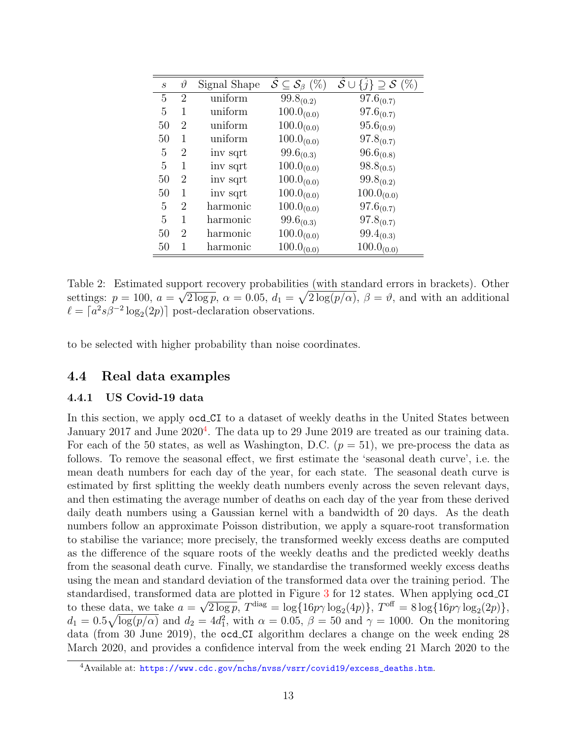<span id="page-12-1"></span>

| $\mathcal{S}_{0}$ | $\vartheta$    | Signal Shape | $\mathcal{S} \subseteq \mathcal{S}_{\beta}$ (%) | $\hat{\mathcal{S}} \cup$<br>$\{\hat{j}\}\supseteq\mathcal{S}\ (\%)$ |
|-------------------|----------------|--------------|-------------------------------------------------|---------------------------------------------------------------------|
| 5                 | 2              | uniform      | $99.8_{(0.2)}$                                  | $97.6_{(0.7)}$                                                      |
| 5                 | 1              | uniform      | $100.0_{(0.0)}$                                 | $97.6_{(0.7)}$                                                      |
| 50                | $\overline{2}$ | uniform      | $100.0_{(0.0)}$                                 | $95.6_{(0.9)}$                                                      |
| 50                | 1              | uniform      | $100.0_{(0.0)}$                                 | $97.8_{(0.7)}$                                                      |
| 5                 | 2              | inv sqrt     | $99.6_{(0.3)}$                                  | $96.6_{(0.8)}$                                                      |
| 5                 | 1              | inv sqrt     | $100.0_{(0.0)}$                                 | $98.8_{(0.5)}$                                                      |
| 50                | 2              | inv sqrt     | $100.0_{(0.0)}$                                 | $99.8_{(0.2)}$                                                      |
| 50                | 1              | inv sqrt     | $100.0_{(0.0)}$                                 | $100.0_{(0.0)}$                                                     |
| 5                 | 2              | harmonic     | $100.0_{(0.0)}$                                 | $97.6_{(0.7)}$                                                      |
| 5                 | 1              | harmonic     | $99.6_{(0.3)}$                                  | $97.8_{(0.7)}$                                                      |
| 50                | $\overline{2}$ | harmonic     | $100.0_{(0.0)}$                                 | $99.4_{(0.3)}$                                                      |
| 50                |                | harmonic     | $100.0_{(0.0)}$                                 | $100.0_{(0.0)}$                                                     |

Table 2: Estimated support recovery probabilities (with standard errors in brackets). Other settings:  $p = 100$ ,  $a = \sqrt{2 \log p}$ ,  $\alpha = 0.05$ ,  $d_1 = \sqrt{2 \log (p/\alpha)}$ ,  $\beta = \vartheta$ , and with an additional  $\ell = \lceil a^2 s \beta^{-2} \log_2(2p) \rceil$  post-declaration observations.

to be selected with higher probability than noise coordinates.

## 4.4 Real data examples

#### <span id="page-12-0"></span>4.4.1 US Covid-19 data

In this section, we apply ocd CI to a dataset of weekly deaths in the United States between January 2017 and June 2020<sup>[4](#page-12-2)</sup>. The data up to 29 June 2019 are treated as our training data. For each of the 50 states, as well as Washington, D.C.  $(p = 51)$ , we pre-process the data as follows. To remove the seasonal effect, we first estimate the 'seasonal death curve', i.e. the mean death numbers for each day of the year, for each state. The seasonal death curve is estimated by first splitting the weekly death numbers evenly across the seven relevant days, and then estimating the average number of deaths on each day of the year from these derived daily death numbers using a Gaussian kernel with a bandwidth of 20 days. As the death numbers follow an approximate Poisson distribution, we apply a square-root transformation to stabilise the variance; more precisely, the transformed weekly excess deaths are computed as the difference of the square roots of the weekly deaths and the predicted weekly deaths from the seasonal death curve. Finally, we standardise the transformed weekly excess deaths using the mean and standard deviation of the transformed data over the training period. The standardised, transformed data are plotted in Figure [3](#page-14-1) for 12 states. When applying ocd CI to these data, we take  $a = \sqrt{2 \log p}$ ,  $T^{\text{diag}} = \log\{16p\gamma \log_2(4p)\}\$ ,  $T^{\text{off}} = 8 \log\{16p\gamma \log_2(2p)\}\$ ,  $d_1 = 0.5\sqrt{\log(p/\alpha)}$  and  $d_2 = 4d_1^2$ , with  $\alpha = 0.05$ ,  $\beta = 50$  and  $\gamma = 1000$ . On the monitoring data (from 30 June 2019), the ocd CI algorithm declares a change on the week ending 28 March 2020, and provides a confidence interval from the week ending 21 March 2020 to the

<span id="page-12-2"></span><sup>4</sup>Available at: [https://www.cdc.gov/nchs/nvss/vsrr/covid19/excess\\_deaths.htm](https://www.cdc.gov/nchs/nvss/vsrr/covid19/excess_deaths.htm).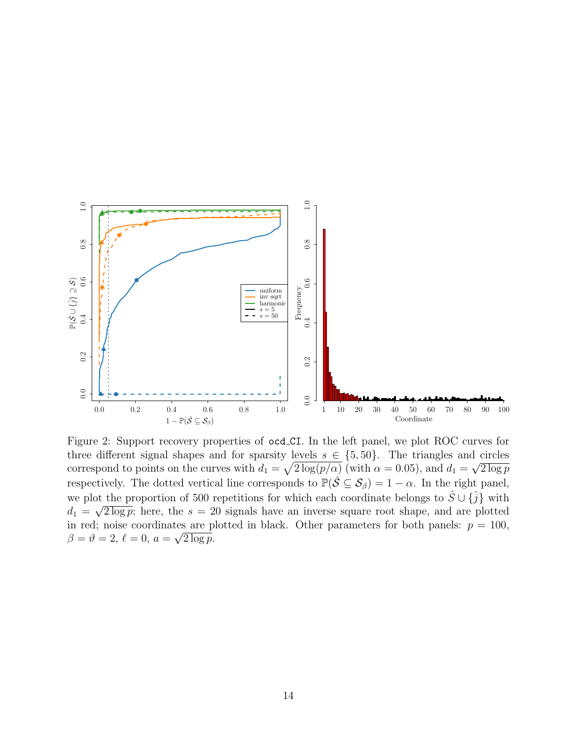<span id="page-13-0"></span>

Figure 2: Support recovery properties of ocd CI. In the left panel, we plot ROC curves for three different signal shapes and for sparsity levels  $s \in \{5, 50\}$ . The triangles and circles correspond to points on the curves with  $d_1 = \sqrt{2 \log(p/\alpha)}$  (with  $\alpha = 0.05$ ), and  $d_1 = \sqrt{2 \log p}$ respectively. The dotted vertical line corresponds to  $\mathbb{P}(\hat{S} \subseteq \mathcal{S}_{\beta}) = 1 - \alpha$ . In the right panel, we plot the proportion of 500 repetitions for which each coordinate belongs to  $\hat{S} \cup {\hat{j}}$  with  $d_1 = \sqrt{2 \log p}$ ; here, the  $s = 20$  signals have an inverse square root shape, and are plotted in red; noise coordinates are plotted in black. Other parameters for both panels:  $p = 100$ ,  $\beta = \vartheta = 2, \, \ell = 0, \, a = \sqrt{2 \log p}.$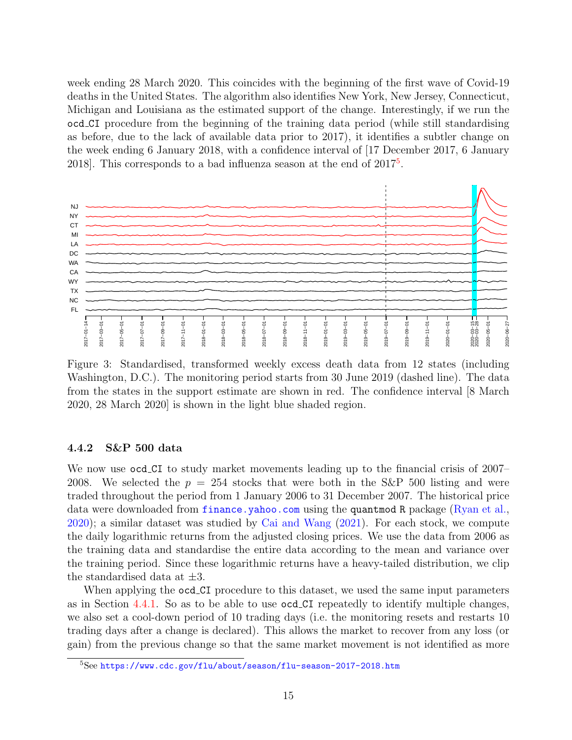week ending 28 March 2020. This coincides with the beginning of the first wave of Covid-19 deaths in the United States. The algorithm also identifies New York, New Jersey, Connecticut, Michigan and Louisiana as the estimated support of the change. Interestingly, if we run the ocd CI procedure from the beginning of the training data period (while still standardising as before, due to the lack of available data prior to 2017), it identifies a subtler change on the week ending 6 January 2018, with a confidence interval of [17 December 2017, 6 January 2018. This corresponds to a bad influenza season at the end of  $2017^5$  $2017^5$ .

<span id="page-14-1"></span>

Figure 3: Standardised, transformed weekly excess death data from 12 states (including Washington, D.C.). The monitoring period starts from 30 June 2019 (dashed line). The data from the states in the support estimate are shown in red. The confidence interval [8 March 2020, 28 March 2020] is shown in the light blue shaded region.

#### <span id="page-14-0"></span>4.4.2 S&P 500 data

We now use ocd CI to study market movements leading up to the financial crisis of 2007– 2008. We selected the  $p = 254$  stocks that were both in the S&P 500 listing and were traded throughout the period from 1 January 2006 to 31 December 2007. The historical price data were downloaded from <finance.yahoo.com> using the quantmod R package [\(Ryan et al.,](#page-29-14) [2020\)](#page-29-14); a similar dataset was studied by [Cai and Wang](#page-28-8) [\(2021\)](#page-28-8). For each stock, we compute the daily logarithmic returns from the adjusted closing prices. We use the data from 2006 as the training data and standardise the entire data according to the mean and variance over the training period. Since these logarithmic returns have a heavy-tailed distribution, we clip the standardised data at  $\pm 3$ .

When applying the **ocd\_CI** procedure to this dataset, we used the same input parameters as in Section [4.4.1.](#page-12-0) So as to be able to use ocd CI repeatedly to identify multiple changes, we also set a cool-down period of 10 trading days (i.e. the monitoring resets and restarts 10 trading days after a change is declared). This allows the market to recover from any loss (or gain) from the previous change so that the same market movement is not identified as more

<span id="page-14-2"></span><sup>5</sup>See <https://www.cdc.gov/flu/about/season/flu-season-2017-2018.htm>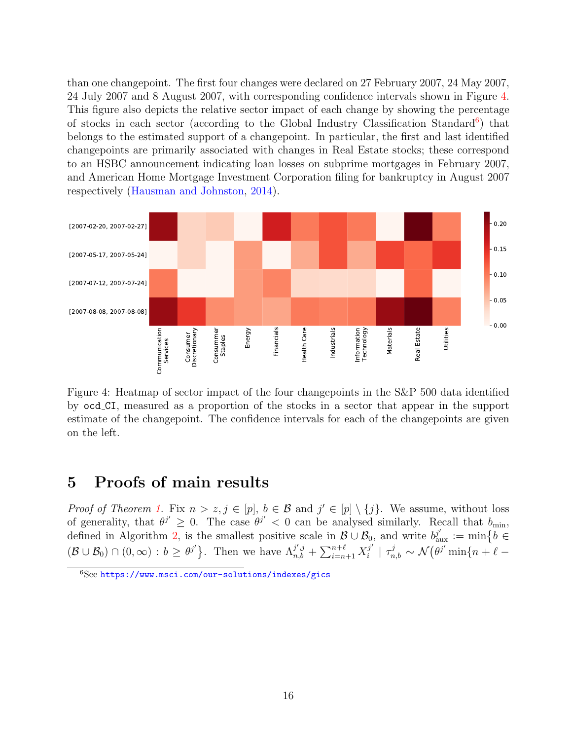than one changepoint. The first four changes were declared on 27 February 2007, 24 May 2007, 24 July 2007 and 8 August 2007, with corresponding confidence intervals shown in Figure [4.](#page-15-1) This figure also depicts the relative sector impact of each change by showing the percentage of stocks in each sector (according to the Global Industry Classification Standard<sup>[6](#page-15-2)</sup>) that belongs to the estimated support of a changepoint. In particular, the first and last identified changepoints are primarily associated with changes in Real Estate stocks; these correspond to an HSBC announcement indicating loan losses on subprime mortgages in February 2007, and American Home Mortgage Investment Corporation filing for bankruptcy in August 2007 respectively [\(Hausman and Johnston,](#page-29-15) [2014\)](#page-29-15).

<span id="page-15-1"></span>

Figure 4: Heatmap of sector impact of the four changepoints in the S&P 500 data identified by ocd CI, measured as a proportion of the stocks in a sector that appear in the support estimate of the changepoint. The confidence intervals for each of the changepoints are given on the left.

# <span id="page-15-0"></span>5 Proofs of main results

*Proof of Theorem [1.](#page-6-1)* Fix  $n > z, j \in [p], b \in \mathcal{B}$  and  $j' \in [p] \setminus \{j\}$ . We assume, without loss of generality, that  $\theta^{j'} \geq 0$ . The case  $\theta^{j'} < 0$  can be analysed similarly. Recall that  $b_{\min}$ , defined in Algorithm [2,](#page-7-0) is the smallest positive scale in  $\mathcal{B} \cup \mathcal{B}_0$ , and write  $b_{\text{aux}}^{j'} := \min\{b \in$  $(\mathcal{B}\cup\mathcal{B}_0)\cap(0,\infty):b\geq\theta^{j'}\}$ . Then we have  $\Lambda_{n,b}^{j',j}+\sum_{i=n+1}^{n+\ell}X_i^{j'}$  $\mathcal{I}_i^{j'} \mid \tau_{n,b}^j \sim \mathcal{N}\bigl( \theta^{j'} \min\{n+\ell-\ell'\}$ 

<span id="page-15-2"></span> $6$ See <https://www.msci.com/our-solutions/indexes/gics>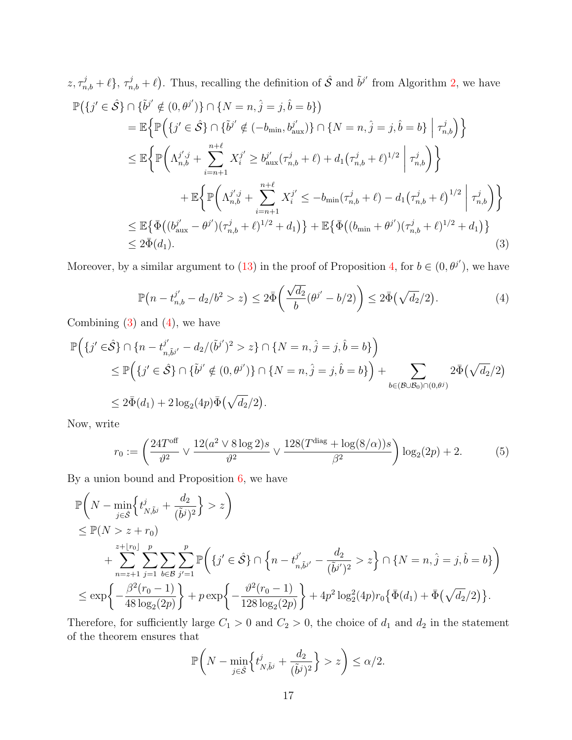$$
z, \tau_{n,b}^{j} + \ell, \tau_{n,b}^{j} + \ell
$$
. Thus, recalling the definition of  $\hat{S}$  and  $\tilde{b}^{j'}$  from Algorithm 2, we have  
\n
$$
\mathbb{P}(\lbrace j' \in \hat{S} \rbrace \cap \lbrace \tilde{b}^{j'} \notin (0, \theta^{j'}) \rbrace \cap \lbrace N = n, \hat{j} = j, \hat{b} = b \rbrace)
$$
\n
$$
= \mathbb{E} \Big\{ \mathbb{P} \Big( \lbrace j' \in \hat{S} \rbrace \cap \lbrace \tilde{b}^{j'} \notin (-b_{\min}, b_{\text{aux}}^{j'}) \rbrace \cap \lbrace N = n, \hat{j} = j, \hat{b} = b \rbrace \Big| \tau_{n,b}^{j} \Big) \Big\}
$$
\n
$$
\leq \mathbb{E} \Big\{ \mathbb{P} \Big( \Lambda_{n,b}^{j',j} + \sum_{i=n+1}^{n+\ell} X_i^{j'} \geq b_{\text{aux}}^{j'}(\tau_{n,b}^{j} + \ell) + d_1(\tau_{n,b}^{j} + \ell)^{1/2} \Big| \tau_{n,b}^{j} \Big) \Big\}
$$
\n
$$
+ \mathbb{E} \Big\{ \mathbb{P} \Big( \Lambda_{n,b}^{j',j} + \sum_{i=n+1}^{n+\ell} X_i^{j'} \leq -b_{\min}(\tau_{n,b}^{j} + \ell) - d_1(\tau_{n,b}^{j} + \ell)^{1/2} \Big| \tau_{n,b}^{j} \Big) \Big\}
$$
\n
$$
\leq \mathbb{E} \{ \bar{\Phi} \big( (b_{\text{aux}}^{j'} - \theta^{j'}) (\tau_{n,b}^{j} + \ell)^{1/2} + d_1 \big) \} + \mathbb{E} \{ \bar{\Phi} \big( (b_{\min} + \theta^{j'}) (\tau_{n,b}^{j} + \ell)^{1/2} + d_1 \big) \}
$$
\n
$$
\leq 2 \bar{\Phi}(d_1).
$$
\n(3)

<span id="page-16-1"></span>Moreover, by a similar argument to [\(13\)](#page-22-1) in the proof of Proposition [4,](#page-22-2) for  $b \in (0, \theta^{j'})$ , we have

<span id="page-16-0"></span>
$$
\mathbb{P}(n - t_{n,b}^{j'} - d_2/b^2 > z) \le 2\bar{\Phi}\left(\frac{\sqrt{d_2}}{b}(\theta^{j'} - b/2)\right) \le 2\bar{\Phi}(\sqrt{d_2}/2). \tag{4}
$$

Combining  $(3)$  and  $(4)$ , we have

$$
\mathbb{P}\Big(\{j' \in \hat{\mathcal{S}}\} \cap \{n - t_{n,\tilde{b}j'}^{j'} - d_2/(\tilde{b}j')^2 > z\} \cap \{N = n, \hat{j} = j, \hat{b} = b\}\Big) \leq \mathbb{P}\Big(\{j' \in \hat{\mathcal{S}}\} \cap \{\tilde{b}j' \notin (0, \thetaj')\} \cap \{N = n, \hat{j} = j, \hat{b} = b\}\Big) + \sum_{b \in (\mathcal{B} \cup \mathcal{B}_0) \cap (0, \theta^j)} 2\bar{\Phi}(\sqrt{d_2}/2) \leq 2\bar{\Phi}(d_1) + 2\log_2(4p)\bar{\Phi}(\sqrt{d_2}/2).
$$

Now, write

<span id="page-16-2"></span>
$$
r_0 := \left(\frac{24T^{\text{off}}}{\vartheta^2} \vee \frac{12(a^2 \vee 8 \log 2)s}{\vartheta^2} \vee \frac{128(T^{\text{diag}} + \log(8/\alpha))s}{\beta^2}\right) \log_2(2p) + 2. \tag{5}
$$

By a union bound and Proposition  $6$ , we have

$$
\mathbb{P}\left(N - \min_{j \in \hat{\mathcal{S}}}\left\{t_{N,\tilde{b}^{j}}^{j} + \frac{d_{2}}{(\tilde{b}^{j})^{2}}\right\} > z\right) \n\leq \mathbb{P}(N > z + r_{0}) \n+ \sum_{n=z+1}^{z+|r_{0}|} \sum_{j=1}^{p} \sum_{b \in \mathcal{B}} \sum_{j'=1}^{p} \mathbb{P}\left(\left\{j' \in \hat{\mathcal{S}}\right\} \cap \left\{n - t_{n,\tilde{b}^{j'}}^{j'} - \frac{d_{2}}{(\tilde{b}^{j'})^{2}} > z\right\} \cap \left\{N = n, \hat{j} = j, \hat{b} = b\right\}\right) \n\leq \exp\left\{-\frac{\beta^{2}(r_{0} - 1)}{48 \log_{2}(2p)}\right\} + p \exp\left\{-\frac{\vartheta^{2}(r_{0} - 1)}{128 \log_{2}(2p)}\right\} + 4p^{2} \log_{2}^{2}(4p)r_{0} \left\{\bar{\Phi}(d_{1}) + \bar{\Phi}\left(\sqrt{d_{2}}/2\right)\right\}.
$$

Therefore, for sufficiently large  $C_1 > 0$  and  $C_2 > 0$ , the choice of  $d_1$  and  $d_2$  in the statement of the theorem ensures that

$$
\mathbb{P}\bigg(N - \min_{j \in \hat{\mathcal{S}}} \left\{ t^j_{N, \tilde{b}^j} + \frac{d_2}{(\tilde{b}^j)^2} \right\} > z\bigg) \le \alpha/2.
$$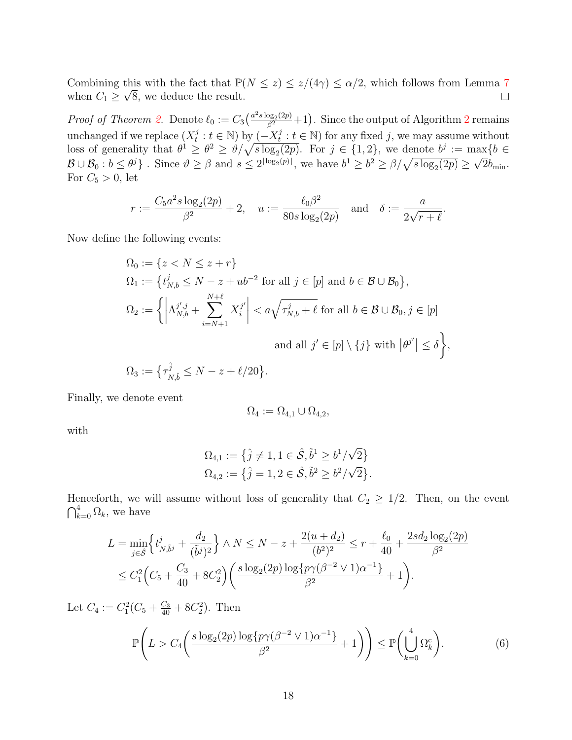Combining this with the fact that  $\mathbb{P}(N \leq z) \leq z/(4\gamma) \leq \alpha/2$ , which follows from Lemma [7](#page-26-0) when  $C_1 \geq \sqrt{8}$ , we deduce the result.  $\Box$ 

*Proof of Theorem [2.](#page-6-2)* Denote  $\ell_0 := C_3 \left( \frac{a^2 s \log_2(2p)}{\beta^2} + 1 \right)$  $\ell_0 := C_3 \left( \frac{a^2 s \log_2(2p)}{\beta^2} + 1 \right)$  $\ell_0 := C_3 \left( \frac{a^2 s \log_2(2p)}{\beta^2} + 1 \right)$ . Since the output of Algorithm 2 remains unchanged if we replace  $(X_t^j)$  $t : t \in \mathbb{N}$ ) by  $\left(-X_t^j\right)$  $t : t \in \mathbb{N}$  for any fixed j, we may assume without loss of generality that  $\theta^1 \ge \theta^2 \ge \theta/\sqrt{s \log_2(2p)}$ . For  $j \in \{1, 2\}$ , we denote  $b^j := \max\{b \in \mathbb{R}^p\}$  $\mathcal{B}\cup\mathcal{B}_0:b\leq\theta^j$ . Since  $\theta\geq\beta$  and  $s\leq 2^{\lfloor \log_2(p)\rfloor}$ , we have  $b^1\geq b^2\geq \beta/\sqrt{s\log_2(2p)}\geq\sqrt{2}b_{\min}$ . For  $C_5 > 0$ , let

$$
r:=\frac{C_5 a^2 s \log_2(2p)}{\beta^2}+2, \quad u:=\frac{\ell_0 \beta^2}{80 s \log_2(2p)} \quad \text{and} \quad \delta:=\frac{a}{2\sqrt{r+\ell}}.
$$

Now define the following events:

$$
\Omega_0 := \{ z < N \leq z + r \}
$$
\n
$$
\Omega_1 := \{ t_{N,b}^j \leq N - z + ub^{-2} \text{ for all } j \in [p] \text{ and } b \in \mathcal{B} \cup \mathcal{B}_0 \},
$$
\n
$$
\Omega_2 := \left\{ \left| \Lambda_{N,b}^{j',j} + \sum_{i=N+1}^{N+\ell} X_i^{j'} \right| < a \sqrt{\tau_{N,b}^j + \ell} \text{ for all } b \in \mathcal{B} \cup \mathcal{B}_0, j \in [p] \right\}
$$
\n
$$
\text{and all } j' \in [p] \setminus \{j\} \text{ with } |\theta^{j'}| \leq \delta \right\},
$$
\n
$$
\Omega_3 := \{ \tau_{N,b}^{\hat{j}} \leq N - z + \ell/20 \}.
$$

Finally, we denote event

<span id="page-17-0"></span>
$$
\Omega_4 := \Omega_{4,1} \cup \Omega_{4,2},
$$

with

$$
\Omega_{4,1} := \left\{ \hat{j} \neq 1, 1 \in \hat{\mathcal{S}}, \tilde{b}^1 \ge b^1/\sqrt{2} \right\}
$$
  

$$
\Omega_{4,2} := \left\{ \hat{j} = 1, 2 \in \hat{\mathcal{S}}, \tilde{b}^2 \ge b^2/\sqrt{2} \right\}.
$$

Henceforth, we will assume without loss of generality that  $C_2 \geq 1/2$ . Then, on the event  $\bigcap_{k=0}^4 \Omega_k$ , we have

$$
L = \min_{j \in \hat{\mathcal{S}}} \left\{ t_{N, \tilde{b}^j}^j + \frac{d_2}{(\tilde{b}^j)^2} \right\} \wedge N \le N - z + \frac{2(u + d_2)}{(b^2)^2} \le r + \frac{\ell_0}{40} + \frac{2sd_2\log_2(2p)}{\beta^2} \n\le C_1^2 \Big( C_5 + \frac{C_3}{40} + 8C_2^2 \Big) \Big( \frac{s \log_2(2p) \log \{ p \gamma (\beta^{-2} \vee 1) \alpha^{-1} \}}{\beta^2} + 1 \Big).
$$

Let  $C_4 := C_1^2 (C_5 + \frac{C_3}{40} + 8C_2^2)$ . Then

$$
\mathbb{P}\left(L > C_4\left(\frac{s\log_2(2p)\log\{p\gamma(\beta^{-2} \vee 1)\alpha^{-1}\}}{\beta^2} + 1\right)\right) \le \mathbb{P}\left(\bigcup_{k=0}^4 \Omega_k^c\right). \tag{6}
$$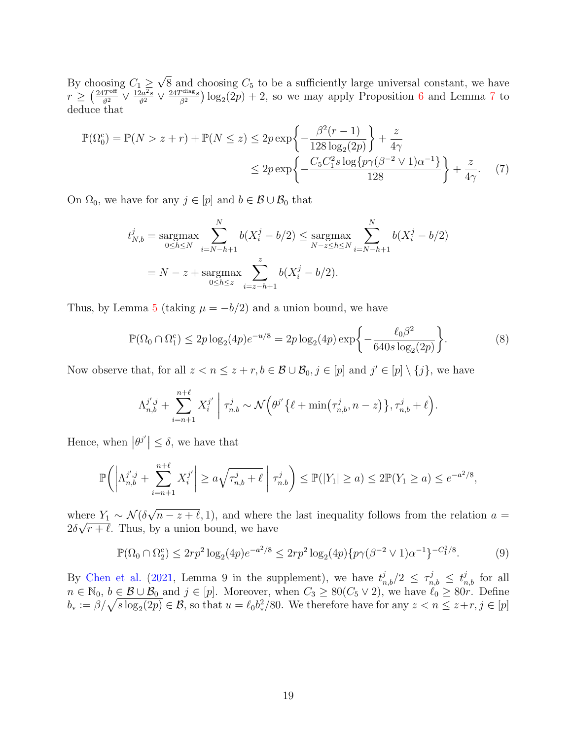By choosing  $C_1 \geq$ √  $8$  and choosing  $C_5$  to be a sufficiently large universal constant, we have  $r \geq \left(\frac{24T^{\text{off}}}{\vartheta^2} \vee \frac{12a^2s}{\vartheta^2} \vee \frac{24T^{\text{diag}}s}{\beta^2}\right)$  $\frac{p_{\text{diag}_s}}{p^2}$ )  $\log_2(2p) + 2$ , so we may apply Proposition [6](#page-23-0) and Lemma [7](#page-26-0) to deduce that

$$
\mathbb{P}(\Omega_0^c) = \mathbb{P}(N > z + r) + \mathbb{P}(N \le z) \le 2p \exp\left\{-\frac{\beta^2(r-1)}{128 \log_2(2p)}\right\} + \frac{z}{4\gamma} \le 2p \exp\left\{-\frac{C_5 C_1^2 s \log\{p\gamma(\beta^{-2} \vee 1)\alpha^{-1}\}}{128}\right\} + \frac{z}{4\gamma}.
$$
 (7)

On  $\Omega_0$ , we have for any  $j \in [p]$  and  $b \in \mathcal{B} \cup \mathcal{B}_0$  that

<span id="page-18-0"></span>
$$
t_{N,b}^j = \underset{0 \le h \le N}{\text{argmax}} \sum_{i=N-h+1}^N b(X_i^j - b/2) \le \underset{N-z \le h \le N}{\text{argmax}} \sum_{i=N-h+1}^N b(X_i^j - b/2)
$$
  
=  $N - z + \underset{0 \le h \le z}{\text{argmax}} \sum_{i=z-h+1}^z b(X_i^j - b/2).$ 

Thus, by Lemma [5](#page-22-3) (taking  $\mu = -b/2$ ) and a union bound, we have

<span id="page-18-1"></span>
$$
\mathbb{P}(\Omega_0 \cap \Omega_1^c) \le 2p \log_2(4p) e^{-u/8} = 2p \log_2(4p) \exp\left\{-\frac{\ell_0 \beta^2}{640s \log_2(2p)}\right\}.
$$
 (8)

Now observe that, for all  $z < n \leq z + r, b \in \mathcal{B} \cup \mathcal{B}_0, j \in [p]$  and  $j' \in [p] \setminus \{j\}$ , we have

$$
\Lambda_{n,b}^{j',j} + \sum_{i=n+1}^{n+\ell} X_i^{j'} \mid \tau_{n,b}^j \sim \mathcal{N}\Big(\theta^{j'} \big\{\ell + \min\big(\tau_{n,b}^j, n-z\big)\big\}, \tau_{n,b}^j + \ell\Big).
$$

Hence, when  $|\theta^{j'}| \leq \delta$ , we have that

$$
\mathbb{P}\bigg(\bigg|\Lambda_{n,b}^{j',j} + \sum_{i=n+1}^{n+\ell} X_i^{j'}\bigg| \ge a\sqrt{\tau_{n,b}^j + \ell} \bigg| \tau_{n,b}^j\bigg) \le \mathbb{P}(|Y_1| \ge a) \le 2\mathbb{P}(Y_1 \ge a) \le e^{-a^2/8},
$$

where  $Y_1 \sim \mathcal{N}(\delta)$ √ nere  $Y_1 \sim \mathcal{N}(\delta \sqrt{n-z} + \ell, 1)$ , and where the last inequality follows from the relation  $a =$  $2\delta\sqrt{r} + \ell$ . Thus, by a union bound, we have

<span id="page-18-2"></span>
$$
\mathbb{P}(\Omega_0 \cap \Omega_2^c) \le 2rp^2 \log_2(4p) e^{-a^2/8} \le 2rp^2 \log_2(4p) \{p\gamma(\beta^{-2} \vee 1)\alpha^{-1}\}^{-C_1^2/8}.
$$
 (9)

By [Chen et al.](#page-28-4) [\(2021,](#page-28-4) Lemma 9 in the supplement), we have  $t_{n,b}^j/2 \leq \tau_{n,b}^j \leq t_{n,b}^j$  for all  $n \in \mathbb{N}_0$ ,  $b \in \mathcal{B} \cup \mathcal{B}_0$  and  $j \in [p]$ . Moreover, when  $C_3 \geq 80(C_5 \vee 2)$ , we have  $\ell_0 \geq 80r$ . Define  $b_* := \beta/\sqrt{s \log_2(2p)} \in \mathcal{B}$ , so that  $u = \ell_0 b_*^2/80$ . We therefore have for any  $z < n \leq z+r, j \in [p]$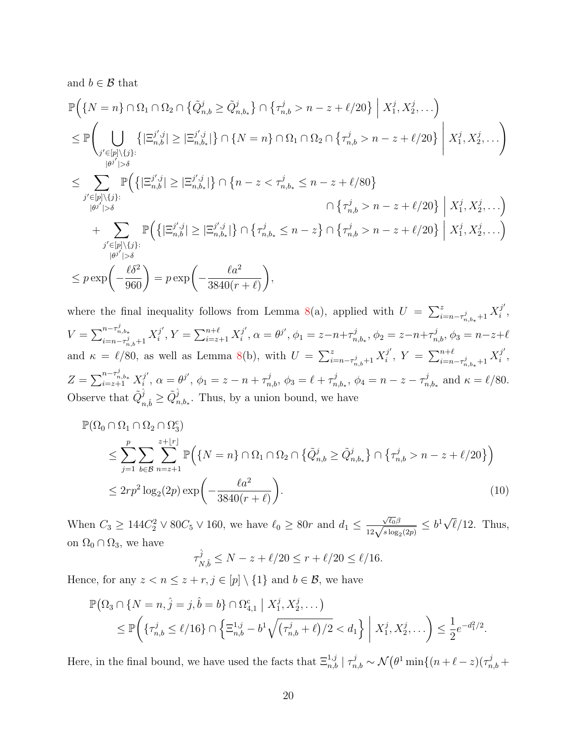and  $b \in \mathcal{B}$  that

$$
\mathbb{P}\Big(\{N=n\}\cap\Omega_{1}\cap\Omega_{2}\cap\{\tilde{Q}_{n,b}^{j}\geq\tilde{Q}_{n,b_{*}}^{j}\}\cap\{\tau_{n,b}^{j}>n-z+\ell/20\}\Big| X_{1}^{j},X_{2}^{j},\ldots\Big)
$$
\n
$$
\leq \mathbb{P}\Big(\bigcup_{\substack{j'\in[p]\backslash\{j\}:\ |\beta^{j'}|> \delta}}\left\{\left|\Xi_{n,b}^{j',j}\right|\geq\left|\Xi_{n,b_{*}}^{j',j}\right|\right\}\cap\{N=n\}\cap\Omega_{1}\cap\Omega_{2}\cap\{\tau_{n,b}^{j}>n-z+\ell/20\}\Big| X_{1}^{j},X_{2}^{j},\ldots\Big)
$$
\n
$$
\leq \sum_{\substack{j'\in[p]\backslash\{j\}:\ |\beta^{j'}|> \delta}}\mathbb{P}\Big(\left\{\left|\Xi_{n,b}^{j',j}\right|\geq\left|\Xi_{n,b_{*}}^{j',j}\right|\right\}\cap\left\{n-z<\tau_{n,b_{*}}^{j}\leq n-z+\ell/80\right\}
$$
\n
$$
\cap\left\{\tau_{n,b}^{j}>n-z+\ell/20\right\}\Big| X_{1}^{j},X_{2}^{j},\ldots\Big)
$$
\n
$$
+\sum_{\substack{j'\in[p]\backslash\{j\}:\ |\beta^{j'}|> \delta}}\mathbb{P}\Big(\left\{\left|\Xi_{n,b}^{j',j}\right|\geq\left|\Xi_{n,b_{*}}^{j',j}\right|\right\}\cap\left\{\tau_{n,b_{*}}^{j}\leq n-z\right\}\cap\left\{\tau_{n,b}^{j}>n-z+\ell/20\right\}\Big| X_{1}^{j},X_{2}^{j},\ldots\Big)
$$
\n
$$
\leq p\exp\Big(-\frac{\ell\delta^{2}}{960}\Big)=p\exp\Big(-\frac{\ell a^{2}}{3840(\tau+\ell)}\Big),
$$

where the final inequality follows from Lemma [8\(](#page-26-1)a), applied with  $U = \sum_{i=n-\tau_{n,b_*}^j+1}^z X_i^{j'}$  $\frac{j}{i}$  ,  $V = \sum_{i=-\infty}^{n-\tau_{n,b*}^j}$  $\frac{n-\tau_{n,b_*}^j}{i=n-\tau_{n,b}^j+1}X_i^{j'}$  $j', Y = \sum_{i=z+1}^{n+\ell} X_i^{j'}$  $j', \alpha = \theta^{j'}, \phi_1 = z - n + \tau_n^j$  $n_{n,b_*}^j$ ,  $\phi_2 = z - n + \tau_{n,b}^j$ ,  $\phi_3 = n - z + \ell$ and  $\kappa = \ell/80$ , as well as Lemma [8\(](#page-26-1)b), with  $U = \sum_{i=n-\tau_{n,b}^j+1}^z X_i^{j'}$  $j', Y = \sum_{i=n-\tau_{n,b_*}^j+1}^{n+\ell} X_i^{j'}$  $\frac{j}{i}$ ,  $Z = \sum_{i=z+1}^{n-\tau_{n,b*}^j} X_i^{j'}$  $j', \ \alpha = \theta^{j'}, \ \phi_1 = z - n + \tau_{n,b}^j, \ \phi_3 = \ell + \tau_n^j$  $a_{n,b_*}^j, \, \phi_4 = n-z-\tau_n^j$  $n_{n,b_*}$  and  $\kappa = \ell/80$ . Observe that  $\tilde{Q}^{\hat{j}}$  $\hat{\hat{j}}_{n,\hat{b}} \geq \tilde{Q}_n^{\hat{j}}$  $_{n,b_*}^j$ . Thus, by a union bound, we have

$$
\mathbb{P}(\Omega_0 \cap \Omega_1 \cap \Omega_2 \cap \Omega_3^c)
$$
\n
$$
\leq \sum_{j=1}^p \sum_{b \in \mathcal{B}} \sum_{n=z+1}^{z+ \lfloor r \rfloor} \mathbb{P}\Big(\{N = n\} \cap \Omega_1 \cap \Omega_2 \cap \{\tilde{Q}_{n,b}^j \geq \tilde{Q}_{n,b_*}^j\} \cap \{\tau_{n,b}^j > n-z+\ell/20\}\Big)
$$
\n
$$
\leq 2rp^2 \log_2(2p) \exp\left(-\frac{\ell a^2}{3840(r+\ell)}\right).
$$
\n(10)

When  $C_3 \geq 144C_2^2 \vee 80C_5 \vee 160$ , we have  $\ell_0 \geq 80r$  and  $d_1 \leq$  $\frac{\sqrt{\ell_0}\beta}{12\sqrt{s\log_2(2p)}}\leq b^1\sqrt{ }$  $\ell/12$ . Thus, on  $\Omega_0 \cap \Omega_3$ , we have

<span id="page-19-0"></span>
$$
\tau_{N,\hat{b}}^{\hat{j}} \le N - z + \ell/20 \le r + \ell/20 \le \ell/16.
$$

Hence, for any  $z < n \leq z + r, j \in [p] \setminus \{1\}$  and  $b \in \mathcal{B}$ , we have

$$
\mathbb{P}(\Omega_3 \cap \{N = n, \hat{j} = j, \hat{b} = b\} \cap \Omega_{4,1}^c \mid X_1^j, X_2^j, \dots)
$$
\n
$$
\leq \mathbb{P}\left(\{\tau_{n,b}^j \leq \ell/16\} \cap \left\{\Xi_{n,b}^{1,j} - b^1 \sqrt{(\tau_{n,b}^j + \ell)/2} < d_1\right\} \mid X_1^j, X_2^j, \dots\right) \leq \frac{1}{2} e^{-d_1^2/2}.
$$

Here, in the final bound, we have used the facts that  $\Xi_{n,b}^{1,j} \mid \tau_{n,b}^j \sim \mathcal{N}(\theta^1 \min\{(n+\ell-z)(\tau_{n,b}^j +$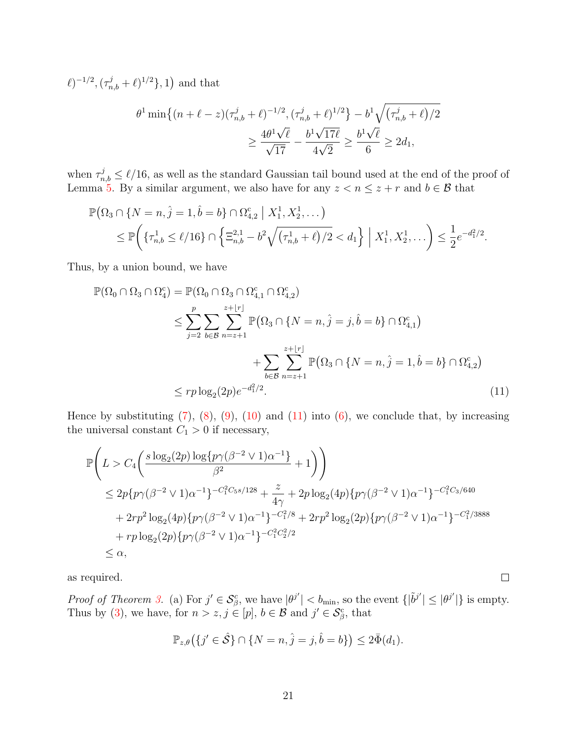$(\ell)^{-1/2}, (\tau_{n,b}^j + \ell)^{1/2}, 1)$  and that

$$
\theta^{1} \min\left\{(n+\ell-z)(\tau_{n,b}^{j}+\ell)^{-1/2}, (\tau_{n,b}^{j}+\ell)^{1/2}\right\} - b^{1} \sqrt{(\tau_{n,b}^{j}+\ell)/2}
$$

$$
\geq \frac{4\theta^{1}\sqrt{\ell}}{\sqrt{17}} - \frac{b^{1}\sqrt{17\ell}}{4\sqrt{2}} \geq \frac{b^{1}\sqrt{\ell}}{6} \geq 2d_{1},
$$

when  $\tau_{n,b}^j \leq \ell/16$ , as well as the standard Gaussian tail bound used at the end of the proof of Lemma [5.](#page-22-3) By a similar argument, we also have for any  $z < n \leq z + r$  and  $b \in \mathcal{B}$  that

$$
\mathbb{P}(\Omega_3 \cap \{N = n, \hat{j} = 1, \hat{b} = b\} \cap \Omega_{4,2}^c \mid X_1^1, X_2^1, \dots)
$$
  
\$\leq \mathbb{P} \bigg( \{\tau\_{n,b}^1 \leq \ell/16\} \cap \left\{\Xi\_{n,b}^{2,1} - b^2 \sqrt{(\tau\_{n,b}^1 + \ell)/2} < d\_1\right\} \mid X\_1^1, X\_2^1, \dots \bigg) \leq \frac{1}{2} e^{-d\_1^2/2}.

Thus, by a union bound, we have

$$
\mathbb{P}(\Omega_0 \cap \Omega_3 \cap \Omega_4^c) = \mathbb{P}(\Omega_0 \cap \Omega_3 \cap \Omega_{4,1}^c \cap \Omega_{4,2}^c) \n\le \sum_{j=2}^p \sum_{b \in \mathcal{B}} \sum_{n=z+1}^{z+|r|} \mathbb{P}(\Omega_3 \cap \{N=n, \hat{j}=j, \hat{b}=b\} \cap \Omega_{4,1}^c) \n+ \sum_{b \in \mathcal{B}} \sum_{n=z+1}^{z+|r|} \mathbb{P}(\Omega_3 \cap \{N=n, \hat{j}=1, \hat{b}=b\} \cap \Omega_{4,2}^c) \n\le rp \log_2(2p)e^{-d_1^2/2}.
$$
\n(11)

Hence by substituting  $(7)$ ,  $(8)$ ,  $(9)$ ,  $(10)$  and  $(11)$  into  $(6)$ , we conclude that, by increasing the universal constant  $C_1 > 0$  if necessary,

$$
\mathbb{P}\left(L > C_4\left(\frac{s\log_2(2p)\log\{p\gamma(\beta^{-2} \vee 1)\alpha^{-1}\}}{\beta^2} + 1\right)\right)
$$
\n
$$
\leq 2p\{p\gamma(\beta^{-2} \vee 1)\alpha^{-1}\}^{-C_1^2C_5s/128} + \frac{z}{4\gamma} + 2p\log_2(4p)\{p\gamma(\beta^{-2} \vee 1)\alpha^{-1}\}^{-C_1^2C_3/640} + 2rp^2\log_2(4p)\{p\gamma(\beta^{-2} \vee 1)\alpha^{-1}\}^{-C_1^2/8} + 2rp^2\log_2(2p)\{p\gamma(\beta^{-2} \vee 1)\alpha^{-1}\}^{-C_1^2/3888} + rp\log_2(2p)\{p\gamma(\beta^{-2} \vee 1)\alpha^{-1}\}^{-C_1^2C_2^2/2} \leq \alpha,
$$

as required.

Proof of Theorem [3.](#page-8-0) (a) For  $j' \in S_\beta^c$ , we have  $|\theta^{j'}| < b_{\min}$ , so the event  $\{|\tilde{\theta}^{j'}| \leq |\theta^{j'}|\}$  is empty. Thus by [\(3\)](#page-16-0), we have, for  $n > z, j \in [p]$ ,  $b \in \mathcal{B}$  and  $j' \in \mathcal{S}_{\beta}^{\mathsf{c}}$ , that

<span id="page-20-0"></span> $\Box$ 

$$
\mathbb{P}_{z,\theta}\big(\{j'\in\hat{\mathcal{S}}\}\cap\{N=n,\hat{j}=j,\hat{b}=b\}\big)\leq 2\bar{\Phi}(d_1).
$$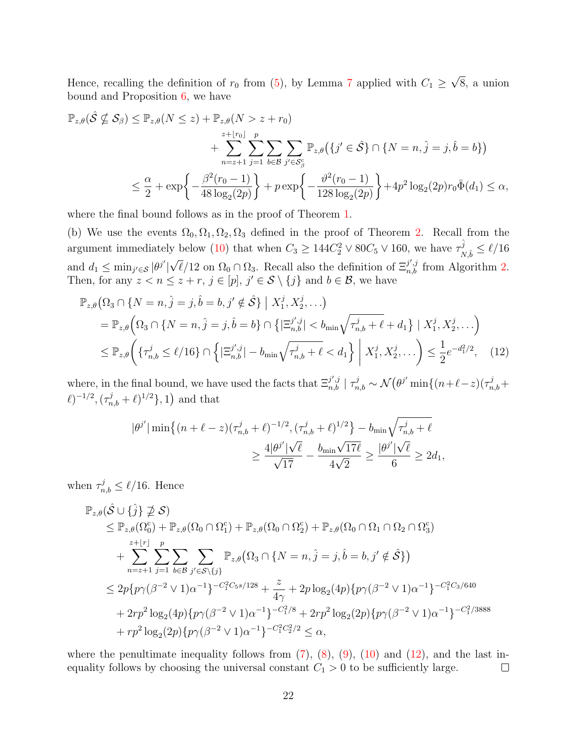Hence, recalling the definition of  $r_0$  from [\(5\)](#page-16-2), by Lemma [7](#page-26-0) applied with  $C_1 \geq$ √ 8, a union bound and Proposition [6,](#page-23-0) we have

$$
\mathbb{P}_{z,\theta}(\hat{\mathcal{S}} \nsubseteq \mathcal{S}_{\beta}) \leq \mathbb{P}_{z,\theta}(N \leq z) + \mathbb{P}_{z,\theta}(N > z + r_0)
$$
\n
$$
+ \sum_{n=z+1}^{z+\lfloor r_0 \rfloor} \sum_{j=1}^p \sum_{b \in \mathcal{B}} \sum_{j' \in \mathcal{S}_{\beta}^c} \mathbb{P}_{z,\theta}\left(\{j' \in \hat{\mathcal{S}}\} \cap \{N=n,\hat{j}=j,\hat{b}=b\}\right)
$$
\n
$$
\leq \frac{\alpha}{2} + \exp\left\{-\frac{\beta^2(r_0 - 1)}{48\log_2(2p)}\right\} + p \exp\left\{-\frac{\vartheta^2(r_0 - 1)}{128\log_2(2p)}\right\} + 4p^2 \log_2(2p)r_0\bar{\Phi}(d_1) \leq \alpha,
$$

where the final bound follows as in the proof of Theorem [1.](#page-6-1)

(b) We use the events  $\Omega_0, \Omega_1, \Omega_2, \Omega_3$  defined in the proof of Theorem [2.](#page-6-2) Recall from the argument immediately below [\(10\)](#page-19-0) that when  $C_3 \geq 144C_2^2 \vee 80C_5 \vee 160$ , we have  $\tau_N^{\hat{j}}$  $\frac{J}{N,\hat{b}} \leq \ell/16$ and  $d_1 \leq \min_{j' \in \mathcal{S}} |\theta^{j'}|$  $\sqrt{\ell}/12$  on  $\Omega_0 \cap \Omega_3$ . Recall also the definition of  $\Xi_{n,b}^{j',j}$  from Algorithm [2.](#page-7-0) Then, for any  $z < n \leq z + r$ ,  $j \in [p]$ ,  $j' \in S \setminus \{j\}$  and  $b \in \mathcal{B}$ , we have

$$
\mathbb{P}_{z,\theta}\left(\Omega_3 \cap \{N=n, \hat{j}=j, \hat{b}=b, j' \notin \hat{\mathcal{S}}\} \mid X_1^j, X_2^j, \ldots\right) \n= \mathbb{P}_{z,\theta}\left(\Omega_3 \cap \{N=n, \hat{j}=j, \hat{b}=b\} \cap \left\{|\Xi_{n,b}^{j',j}| < b_{\min}\sqrt{\tau_{n,b}^j + \ell} + d_1\right\} \mid X_1^j, X_2^j, \ldots\right) \n\le \mathbb{P}_{z,\theta}\left(\{\tau_{n,b}^j \le \ell/16\} \cap \left\{|\Xi_{n,b}^{j',j}| - b_{\min}\sqrt{\tau_{n,b}^j + \ell} < d_1\right\} \mid X_1^j, X_2^j, \ldots\right) \le \frac{1}{2}e^{-d_1^2/2},
$$
\n(12)

where, in the final bound, we have used the facts that  $\Xi_{n,b}^{j',j} \mid \tau_{n,b}^j \sim \mathcal{N}(\theta^{j'} \min\{(n+\ell-z)(\tau_{n,b}^j +$  $(\ell)^{-1/2}, (\tau_{n,b}^j + \ell)^{1/2}, 1)$  and that

<span id="page-21-0"></span>
$$
\begin{aligned} |\theta^{j'}| \min\big\{ (n+\ell-z) (\tau_{n,b}^j+\ell)^{-1/2}, (\tau_{n,b}^j+\ell)^{1/2} \big\} - b_{\min} \sqrt{\tau_{n,b}^j+\ell} \\ &\geq \frac{4|\theta^{j'}|\sqrt{\ell}}{\sqrt{17}} - \frac{b_{\min} \sqrt{17\ell}}{4\sqrt{2}} \geq \frac{|\theta^{j'}|\sqrt{\ell}}{6} \geq 2d_1, \end{aligned}
$$

when  $\tau_{n,b}^j \leq \ell/16$ . Hence

$$
\mathbb{P}_{z,\theta}(\hat{S} \cup \{\hat{j}\} \not\supseteq S) \n\leq \mathbb{P}_{z,\theta}(\Omega_{0}^{c}) + \mathbb{P}_{z,\theta}(\Omega_{0} \cap \Omega_{1}^{c}) + \mathbb{P}_{z,\theta}(\Omega_{0} \cap \Omega_{2}^{c}) + \mathbb{P}_{z,\theta}(\Omega_{0} \cap \Omega_{1} \cap \Omega_{2} \cap \Omega_{3}^{c}) \n+ \sum_{n=z+1}^{z+|r|} \sum_{j=1}^{p} \sum_{b \in \mathcal{B}} \sum_{j' \in S \setminus \{j\}} \mathbb{P}_{z,\theta}(\Omega_{3} \cap \{N=n,\hat{j}=j,\hat{b}=b,j' \notin \hat{S}\}) \n\leq 2p\{p\gamma(\beta^{-2} \vee 1)\alpha^{-1}\}^{-C_{1}^{2}C_{5}s/128} + \frac{z}{4\gamma} + 2p\log_{2}(4p)\{p\gamma(\beta^{-2} \vee 1)\alpha^{-1}\}^{-C_{1}^{2}C_{3}/640} \n+ 2rp^{2}\log_{2}(4p)\{p\gamma(\beta^{-2} \vee 1)\alpha^{-1}\}^{-C_{1}^{2}/8} + 2rp^{2}\log_{2}(2p)\{p\gamma(\beta^{-2} \vee 1)\alpha^{-1}\}^{-C_{1}^{2}/3888} \n+ rp^{2}\log_{2}(2p)\{p\gamma(\beta^{-2} \vee 1)\alpha^{-1}\}^{-C_{1}^{2}C_{2}^{2}/2} \leq \alpha,
$$

where the penultimate inequality follows from  $(7)$ ,  $(8)$ ,  $(9)$ ,  $(10)$  and  $(12)$ , and the last inequality follows by choosing the universal constant  $C_1 > 0$  to be sufficiently large.  $\Box$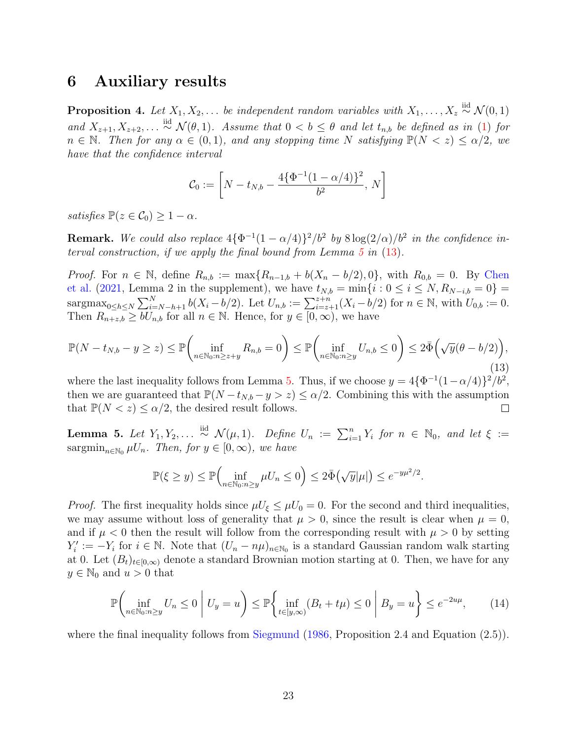## <span id="page-22-0"></span>6 Auxiliary results

<span id="page-22-2"></span>**Proposition 4.** Let  $X_1, X_2, \ldots$  be independent random variables with  $X_1, \ldots, X_z \stackrel{\text{iid}}{\sim} \mathcal{N}(0, 1)$ and  $X_{z+1}, X_{z+2}, \ldots \stackrel{\text{iid}}{\sim} \mathcal{N}(\theta, 1)$ . Assume that  $0 < b \leq \theta$  and let  $t_{n,b}$  be defined as in [\(1\)](#page-1-2) for  $n \in \mathbb{N}$ . Then for any  $\alpha \in (0,1)$ , and any stopping time N satisfying  $\mathbb{P}(N \leq z) \leq \alpha/2$ , we have that the confidence interval

<span id="page-22-1"></span>
$$
\mathcal{C}_0 := \left[ N - t_{N,b} - \frac{4\{\Phi^{-1}(1-\alpha/4)\}^2}{b^2}, N \right]
$$

satisfies  $\mathbb{P}(z \in \mathcal{C}_0) \geq 1 - \alpha$ .

**Remark.** We could also replace  $4\{\Phi^{-1}(1-\alpha/4)\}^2/b^2$  by  $8\log(2/\alpha)/b^2$  in the confidence interval construction, if we apply the final bound from Lemma  $5$  in  $(13)$ .

*Proof.* For  $n \in \mathbb{N}$ , define  $R_{n,b} := \max\{R_{n-1,b} + b(X_n - b/2), 0\}$ , with  $R_{0,b} = 0$ . By [Chen](#page-28-4) [et al.](#page-28-4) [\(2021,](#page-28-4) Lemma 2 in the supplement), we have  $t_{N,b} = \min\{i : 0 \le i \le N, R_{N-i,b} = 0\}$ sargmax<sub>0≤h≤N</sub>  $\sum_{i=N-h+1}^{N} b(X_i - b/2)$ . Let  $U_{n,b} := \sum_{i=z+1}^{z+n} (X_i - b/2)$  for  $n \in \mathbb{N}$ , with  $U_{0,b} := 0$ . Then  $R_{n+z,b} \geq bU_{n,b}$  for all  $n \in \mathbb{N}$ . Hence, for  $y \in [0,\infty)$ , we have

$$
\mathbb{P}(N - t_{N,b} - y \ge z) \le \mathbb{P}\left(\inf_{n \in \mathbb{N}_0 : n \ge z+y} R_{n,b} = 0\right) \le \mathbb{P}\left(\inf_{n \in \mathbb{N}_0 : n \ge y} U_{n,b} \le 0\right) \le 2\bar{\Phi}\left(\sqrt{y}(\theta - b/2)\right),\tag{13}
$$

where the last inequality follows from Lemma [5.](#page-22-3) Thus, if we choose  $y = 4\{\Phi^{-1}(1-\alpha/4)\}^2/b^2$ , then we are guaranteed that  $\mathbb{P}(N-t_{N,b}-y>z)\leq \alpha/2$ . Combining this with the assumption that  $\mathbb{P}(N < z) \leq \alpha/2$ , the desired result follows. ⊔

<span id="page-22-3"></span>**Lemma 5.** Let  $Y_1, Y_2, \ldots \stackrel{iid}{\sim} \mathcal{N}(\mu, 1)$ . Define  $U_n := \sum_{i=1}^n Y_i$  for  $n \in \mathbb{N}_0$ , and let  $\xi :=$ sargmin<sub>n∈N0</sub>  $\mu U_n$ . Then, for  $y \in [0, \infty)$ , we have

$$
\mathbb{P}(\xi \ge y) \le \mathbb{P}\Big(\inf_{n \in \mathbb{N}_0 : n \ge y} \mu U_n \le 0\Big) \le 2\bar{\Phi}\big(\sqrt{y}|\mu|\big) \le e^{-y\mu^2/2}.
$$

*Proof.* The first inequality holds since  $\mu U_{\xi} \leq \mu U_0 = 0$ . For the second and third inequalities, we may assume without loss of generality that  $\mu > 0$ , since the result is clear when  $\mu = 0$ , and if  $\mu < 0$  then the result will follow from the corresponding result with  $\mu > 0$  by setting  $Y_i' := -Y_i$  for  $i \in \mathbb{N}$ . Note that  $(U_n - n\mu)_{n \in \mathbb{N}_0}$  is a standard Gaussian random walk starting at 0. Let  $(B_t)_{t\in[0,\infty)}$  denote a standard Brownian motion starting at 0. Then, we have for any  $y \in \mathbb{N}_0$  and  $u > 0$  that

<span id="page-22-4"></span>
$$
\mathbb{P}\left(\inf_{n\in\mathbb{N}_0:n\geq y} U_n \leq 0 \mid U_y = u\right) \leq \mathbb{P}\left\{\inf_{t\in[y,\infty)} (B_t + t\mu) \leq 0 \mid B_y = u\right\} \leq e^{-2u\mu},\qquad(14)
$$

where the final inequality follows from [Siegmund](#page-30-7) [\(1986,](#page-30-7) Proposition 2.4 and Equation (2.5)).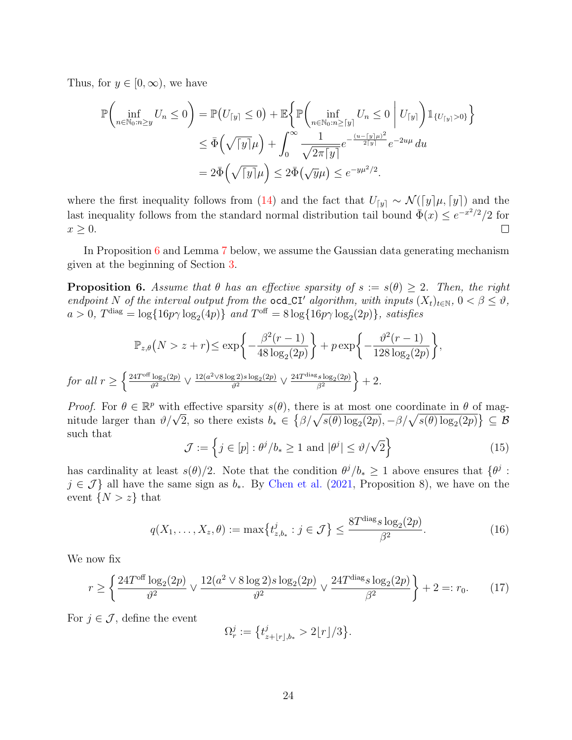Thus, for  $y \in [0, \infty)$ , we have

$$
\mathbb{P}\left(\inf_{n\in\mathbb{N}_0:n\geq y} U_n \leq 0\right) = \mathbb{P}\left(U_{\lceil y\rceil} \leq 0\right) + \mathbb{E}\left\{\mathbb{P}\left(\inf_{n\in\mathbb{N}_0:n\geq\lceil y\rceil} U_n \leq 0 \middle| U_{\lceil y\rceil}\right) \mathbb{1}_{\{U_{\lceil y\rceil}>0\}}\right\}
$$

$$
\leq \bar{\Phi}\left(\sqrt{\lceil y\rceil}\mu\right) + \int_0^\infty \frac{1}{\sqrt{2\pi\lceil y\rceil}} e^{-\frac{(u-\lceil y\rceil)\mu)^2}{2\lceil y\rceil}} e^{-2u\mu} du
$$

$$
= 2\bar{\Phi}\left(\sqrt{\lceil y\rceil}\mu\right) \leq 2\bar{\Phi}\left(\sqrt{y}\mu\right) \leq e^{-y\mu^2/2}.
$$

where the first inequality follows from [\(14\)](#page-22-4) and the fact that  $U_{[y]} \sim \mathcal{N}([y]\mu, [y])$  and the last inequality follows from the standard normal distribution tail bound  $\bar{\Phi}(x) \leq e^{-x^2/2}/2$  for  $x \geq 0$ .  $\Box$ 

In Proposition [6](#page-23-0) and Lemma [7](#page-26-0) below, we assume the Gaussian data generating mechanism given at the beginning of Section [3.](#page-6-0)

<span id="page-23-0"></span>**Proposition 6.** Assume that  $\theta$  has an effective sparsity of  $s := s(\theta) \geq 2$ . Then, the right endpoint N of the interval output from the ocd\_CI' algorithm, with inputs  $(X_t)_{t\in\mathbb{N}}$ ,  $0 < \beta \leq \vartheta$ ,  $a > 0$ ,  $T<sup>diag</sup> = log{16p\gamma log<sub>2</sub>(4p)}$  and  $T<sup>off</sup> = 8 log{16p\gamma log<sub>2</sub>(2p)}$ , satisfies

$$
\mathbb{P}_{z,\theta}(N > z + r) \le \exp\left\{-\frac{\beta^2(r-1)}{48\log_2(2p)}\right\} + p \exp\left\{-\frac{\vartheta^2(r-1)}{128\log_2(2p)}\right\},
$$
  
for all  $r \ge \left\{\frac{24T^{\text{off}}\log_2(2p)}{\vartheta^2} \vee \frac{12(a^2 \vee 8\log_2(2p)\log_2(2p)}{\vartheta^2} \vee \frac{24T^{\text{diag}}s\log_2(2p)}{\beta^2}\right\} + 2.$ 

Proof. For  $\theta \in \mathbb{R}^p$  with effective sparsity  $s(\theta)$ , there is at most one coordinate in  $\theta$  of mag-*Proof.* For  $\theta \in \mathbb{R}^p$  with enective sparsity  $s(\theta)$ , there is at most one coordinate in  $\theta$  or magnitude larger than  $\theta/\sqrt{2}$ , so there exists  $b_* \in {\beta/\sqrt{s(\theta) \log_2(2p)}}, -\beta/\sqrt{s(\theta) \log_2(2p)} \subseteq \mathcal{B}$ such that

$$
\mathcal{J} := \left\{ j \in [p] : \theta^j / b_* \ge 1 \text{ and } |\theta^j| \le \theta / \sqrt{2} \right\}
$$
 (15)

has cardinality at least  $s(\theta)/2$ . Note that the condition  $\theta^j/b_* \geq 1$  above ensures that  $\{\theta^j :$  $j \in \mathcal{J}$  all have the same sign as  $b_*$ . By [Chen et al.](#page-28-4) [\(2021,](#page-28-4) Proposition 8), we have on the event  $\{N > z\}$  that

<span id="page-23-2"></span><span id="page-23-1"></span>
$$
q(X_1, \ldots, X_z, \theta) := \max\{t_{z,b_*}^j : j \in \mathcal{J}\} \le \frac{8T^{\text{diag}} s \log_2(2p)}{\beta^2}.
$$
 (16)

We now fix

$$
r \ge \left\{ \frac{24T^{\text{off}} \log_2(2p)}{\vartheta^2} \vee \frac{12(a^2 \vee 8 \log 2)s \log_2(2p)}{\vartheta^2} \vee \frac{24T^{\text{diag}} s \log_2(2p)}{\beta^2} \right\} + 2 =: r_0. \tag{17}
$$

For  $j \in \mathcal{J}$ , define the event

$$
\Omega_r^j := \left\{ t_{z+\lfloor r \rfloor,b_*}^j > 2\lfloor r \rfloor/3 \right\}.
$$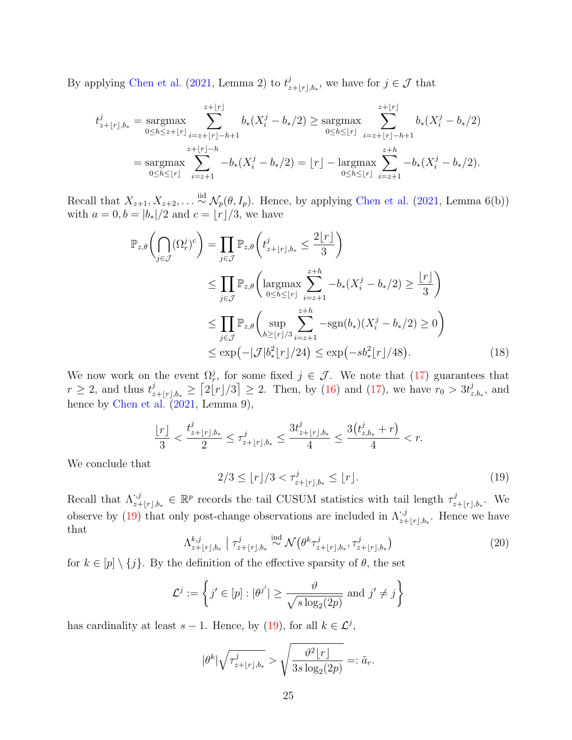By applying [Chen et al.](#page-28-4)  $(2021, \text{ Lemma } 2)$  $(2021, \text{ Lemma } 2)$  to  $t_{\gamma}^{j}$  $\mathcal{L}_{z+\lfloor r \rfloor,b_*}^j$ , we have for  $j \in \mathcal{J}$  that

$$
t_{z+|r|,b_*}^j = \underset{0 \le h \le z+|r|}{\operatorname{argmax}} \sum_{i=z+|r|-h+1}^{z+|r|} b_*(X_i^j - b_*/2) \ge \underset{0 \le h \le |r|}{\operatorname{argmax}} \sum_{i=z+|r|-h+1}^{z+|r|} b_*(X_i^j - b_*/2)
$$
  
= 
$$
\underset{0 \le h \le |r|}{\operatorname{argmax}} \sum_{i=z+1}^{z+|r|-h} -b_*(X_i^j - b_*/2) = |r| - \underset{0 \le h \le |r|}{\operatorname{argmax}} \sum_{i=z+1}^{z+h} -b_*(X_i^j - b_*/2).
$$

Recall that  $X_{z+1}, X_{z+2}, \ldots \stackrel{iid}{\sim} \mathcal{N}_p(\theta, I_p)$ . Hence, by applying [Chen et al.](#page-28-4) [\(2021,](#page-28-4) Lemma 6(b)) with  $a = 0, b = |b_*|/2$  and  $c = |r|/3$ , we have

$$
\mathbb{P}_{z,\theta}\left(\bigcap_{j\in\mathcal{J}} (\Omega_r^j)^c\right) = \prod_{j\in\mathcal{J}} \mathbb{P}_{z,\theta}\left(t_{z+\lfloor r\rfloor,b_*}^j \le \frac{2\lfloor r\rfloor}{3}\right)
$$
\n
$$
\le \prod_{j\in\mathcal{J}} \mathbb{P}_{z,\theta}\left(\underset{0\le h\le \lfloor r\rfloor}{\operatorname{argmax}} \sum_{i=z+1}^{z+h} -b_*(X_i^j - b_*/2) \ge \frac{\lfloor r\rfloor}{3}\right)
$$
\n
$$
\le \prod_{j\in\mathcal{J}} \mathbb{P}_{z,\theta}\left(\underset{h\ge \lfloor r\rfloor/3}{\operatorname{sup}} \sum_{i=z+1}^{z+h} -\operatorname{sgn}(b_*)(X_i^j - b_*/2) \ge 0\right)
$$
\n
$$
\le \exp\left(-|\mathcal{J}|b_*^2\lfloor r\rfloor/24\right) \le \exp\left(-sb_*^2\lfloor r\rfloor/48\right). \tag{18}
$$

We now work on the event  $\Omega_r^j$ , for some fixed  $j \in \mathcal{J}$ . We note that [\(17\)](#page-23-1) guarantees that  $r \geq 2$ , and thus  $t^j_z$  $\sum_{z+\lfloor r \rfloor,b_*}^{j} \geq [2\lfloor r \rfloor/3] \geq 2$ . Then, by [\(16\)](#page-23-2) and [\(17\)](#page-23-1), we have  $r_0 > 3t_2^j$  $_{z,b_*}^j$ , and hence by [Chen et al.](#page-28-4) [\(2021,](#page-28-4) Lemma 9),

<span id="page-24-0"></span>
$$
\frac{\lfloor r \rfloor}{3} < \frac{t^j_{z+\lfloor r \rfloor,b_*}}{2} \leq \tau^j_{z+\lfloor r \rfloor,b_*} \leq \frac{3t^j_{z+\lfloor r \rfloor,b_*}}{4} \leq \frac{3\bigl(t^j_{z,b_*}+r\bigr)}{4} < r.
$$

We conclude that

<span id="page-24-2"></span>
$$
2/3 \le \lfloor r \rfloor / 3 < \tau_{z + \lfloor r \rfloor, b_*}^j \le \lfloor r \rfloor. \tag{19}
$$

<span id="page-24-1"></span>Recall that  $\Lambda^{j,j}_{z+|r|,b_*} \in \mathbb{R}^p$  records the tail CUSUM statistics with tail length  $\tau^j_z$  $x+_{\lfloor r \rfloor,b_*}.$  We observe by [\(19\)](#page-24-0) that only post-change observations are included in  $\Lambda_{z+\lfloor r\rfloor,b_*}^{i,j}$ . Hence we have that

$$
\Lambda_{z+\lfloor r \rfloor,b_*}^{k,j} \mid \tau_{z+\lfloor r \rfloor,b_*}^j \stackrel{\text{ind}}{\sim} \mathcal{N}\big(\theta^k \tau_{z+\lfloor r \rfloor,b_*}^j, \tau_{z+\lfloor r \rfloor,b_*}^j\big) \tag{20}
$$

for  $k \in [p] \setminus \{j\}$ . By the definition of the effective sparsity of  $\theta$ , the set

$$
\mathcal{L}^j := \left\{ j' \in [p] : |\theta^{j'}| \ge \frac{\vartheta}{\sqrt{s \log_2(2p)}} \text{ and } j' \ne j \right\}
$$

has cardinality at least  $s-1$ . Hence, by [\(19\)](#page-24-0), for all  $k \in \mathcal{L}^j$ ,

$$
|\theta^k|\sqrt{\tau_{z+\lfloor r \rfloor,b_*}^j} > \sqrt{\frac{\vartheta^2\lfloor r \rfloor}{3s\log_2(2p)}} =: \tilde{a}_r.
$$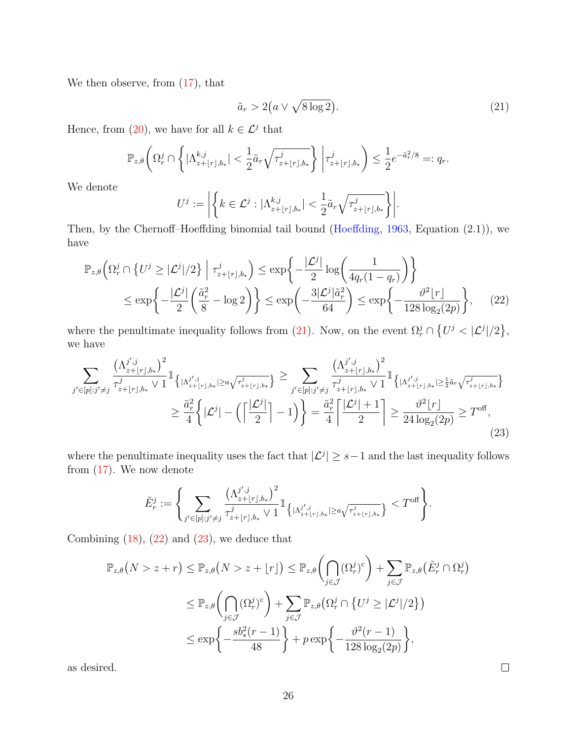We then observe, from  $(17)$ , that

<span id="page-25-1"></span><span id="page-25-0"></span>
$$
\tilde{a}_r > 2\left(a \vee \sqrt{8\log 2}\right). \tag{21}
$$

Hence, from [\(20\)](#page-24-1), we have for all  $k \in \mathcal{L}^j$  that

$$
\mathbb{P}_{z,\theta}\bigg(\Omega_r^j\cap\bigg\{|\Lambda_{z+\lfloor r\rfloor,b_*}^{k,j}|<\frac{1}{2}\tilde{a}_r\sqrt{\tau_{z+\lfloor r\rfloor,b_*}^j}\bigg\}\bigg|\tau_{z+\lfloor r\rfloor,b_*}^j\bigg)\leq\frac{1}{2}e^{-\tilde{a}_r^2/8}=:q_r.
$$

We denote

$$
U^j := \left| \left\{ k \in \mathcal{L}^j : |\Lambda^{k,j}_{z+ \lfloor r \rfloor, b_*}| < \frac{1}{2} \tilde{a}_r \sqrt{\tau^j_{z+ \lfloor r \rfloor, b_*}} \right\} \right|.
$$

Then, by the Chernoff–Hoeffding binomial tail bound [\(Hoeffding,](#page-29-16) [1963,](#page-29-16) Equation (2.1)), we have

$$
\mathbb{P}_{z,\theta}\left(\Omega_r^j \cap \left\{U^j \ge |\mathcal{L}^j|/2\right\} \mid \tau_{z+\lfloor r \rfloor,b_*}^j\right) \le \exp\left\{-\frac{|\mathcal{L}^j|}{2}\log\left(\frac{1}{4q_r(1-q_r)}\right)\right\}
$$
\n
$$
\le \exp\left\{-\frac{|\mathcal{L}^j|}{2}\left(\frac{\tilde{a}_r^2}{8} - \log 2\right)\right\} \le \exp\left(-\frac{3|\mathcal{L}^j|\tilde{a}_r^2}{64}\right) \le \exp\left\{-\frac{\vartheta^2\lfloor r \rfloor}{128\log_2(2p)}\right\},\tag{22}
$$

where the penultimate inequality follows from [\(21\)](#page-25-0). Now, on the event  $\Omega_r^j \cap \{U^j \lt |\mathcal{L}^j|/2\},\$ we have

$$
\sum_{j' \in [p]: j' \neq j} \frac{\left(\Lambda_{z+|r|,b_*}^{j',j}\right)^2}{\tau_{z+|r|,b_*}^j \vee 1} \mathbb{1}_{\left\{|\Lambda_{z+|r|,b_*}^{j',j}|\geq a\sqrt{\tau_{z+|r|,b_*}^j}\right\}} \geq \sum_{j' \in [p]: j' \neq j} \frac{\left(\Lambda_{z+|r|,b_*}^{j',j}\right)^2}{\tau_{z+|r|,b_*}^j \vee 1} \mathbb{1}_{\left\{|\Lambda_{z+|r|,b_*}^{j',j}|\geq \frac{1}{2}\tilde{a}_r\sqrt{\tau_{z+|r|,b_*}^j}\right\}} \geq \frac{\tilde{a}_r^2}{4} \left\{|\mathcal{L}^j| - \left(\left\lceil \frac{|\mathcal{L}^j|}{2} \right\rceil - 1\right)\right\} = \frac{\tilde{a}_r^2}{4} \left\{\frac{|\mathcal{L}^j| + 1}{2} \right\} \geq \frac{\vartheta^2 \lfloor r \rfloor}{24 \log_2(2p)} \geq T^{\text{off}},\tag{23}
$$

where the penultimate inequality uses the fact that  $|\mathcal{L}^{j}| \geq s-1$  and the last inequality follows from [\(17\)](#page-23-1). We now denote

$$
\tilde{E}_r^j := \left\{ \sum_{j' \in [p]: j' \neq j} \frac{\left(\Lambda_{z+ \lfloor r \rfloor, b_*}^{j', j}\right)^2}{\tau_{z+ \lfloor r \rfloor, b_*}^j \vee 1} 1_{\left\{\lvert \Lambda_{z+ \lfloor r \rfloor, b_*}^{j', j} \rvert \ge a\sqrt{\tau_{z+ \lfloor r \rfloor, b_*}^j}\right\}} < T^{\text{off}} \right\}.
$$

Combining  $(18)$ ,  $(22)$  and  $(23)$ , we deduce that

$$
\mathbb{P}_{z,\theta}(N > z + r) \leq \mathbb{P}_{z,\theta}(N > z + \lfloor r \rfloor) \leq \mathbb{P}_{z,\theta}\left(\bigcap_{j \in \mathcal{J}} (\Omega_r^j)^c\right) + \sum_{j \in \mathcal{J}} \mathbb{P}_{z,\theta}\left(\tilde{E}_r^j \cap \Omega_r^j\right)
$$
  

$$
\leq \mathbb{P}_{z,\theta}\left(\bigcap_{j \in \mathcal{J}} (\Omega_r^j)^c\right) + \sum_{j \in \mathcal{J}} \mathbb{P}_{z,\theta}\left(\Omega_r^j \cap \{U^j \geq |\mathcal{L}^j|/2\}\right)
$$
  

$$
\leq \exp\left\{-\frac{sb_*^2(r-1)}{48}\right\} + p \exp\left\{-\frac{\vartheta^2(r-1)}{128\log_2(2p)}\right\},
$$

as desired.

<span id="page-25-2"></span> $\Box$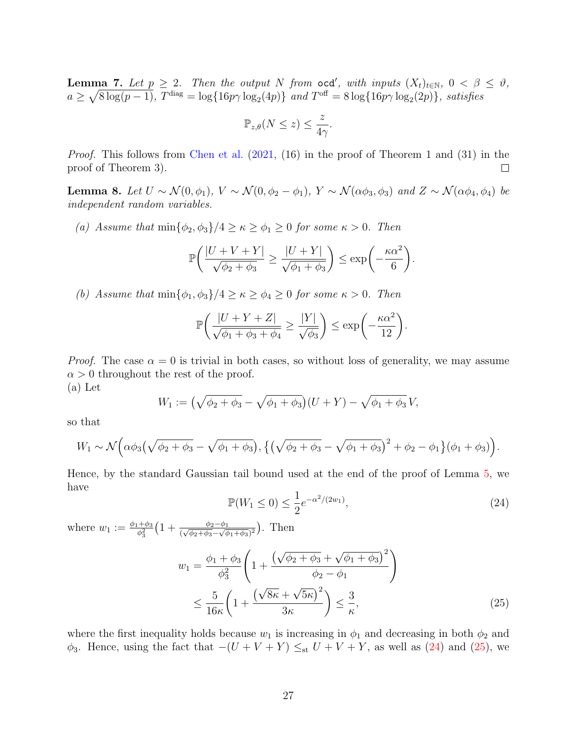<span id="page-26-0"></span>**Lemma 7.** Let  $p \geq 2$ . Then the output N from ocd', with inputs  $(X_t)_{t \in \mathbb{N}}$ ,  $0 < \beta \leq \vartheta$ ,  $a \geq \sqrt{8 \log(p-1)}$ ,  $T^{\text{diag}} = \log\{16p\gamma \log_2(4p)\}\$  and  $T^{\text{off}} = 8 \log\{16p\gamma \log_2(2p)\}\$ , satisfies

$$
\mathbb{P}_{z,\theta}(N\leq z)\leq \frac{z}{4\gamma}.
$$

Proof. This follows from [Chen et al.](#page-28-4)  $(2021, 16)$  $(2021, 16)$  in the proof of Theorem 1 and  $(31)$  in the proof of Theorem 3).  $\Box$ 

<span id="page-26-1"></span>Lemma 8. Let  $U \sim \mathcal{N}(0, \phi_1)$ ,  $V \sim \mathcal{N}(0, \phi_2 - \phi_1)$ ,  $Y \sim \mathcal{N}(\alpha \phi_3, \phi_3)$  and  $Z \sim \mathcal{N}(\alpha \phi_4, \phi_4)$  be independent random variables.

(a) Assume that  $\min{\phi_2, \phi_3}/4 \geq \kappa \geq \phi_1 \geq 0$  for some  $\kappa > 0$ . Then

$$
\mathbb{P}\bigg(\frac{|U+V+Y|}{\sqrt{\phi_2+\phi_3}}\geq \frac{|U+Y|}{\sqrt{\phi_1+\phi_3}}\bigg)\leq \exp\bigg(-\frac{\kappa\alpha^2}{6}\bigg).
$$

(b) Assume that  $\min{\phi_1, \phi_3}/4 \geq \kappa \geq \phi_4 \geq 0$  for some  $\kappa > 0$ . Then

$$
\mathbb{P}\bigg(\frac{|U+Y+Z|}{\sqrt{\phi_1+\phi_3+\phi_4}}\geq \frac{|Y|}{\sqrt{\phi_3}}\bigg)\leq \exp\bigg(-\frac{\kappa\alpha^2}{12}\bigg).
$$

*Proof.* The case  $\alpha = 0$  is trivial in both cases, so without loss of generality, we may assume  $\alpha > 0$  throughout the rest of the proof. (a) Let

$$
W_1 := \left(\sqrt{\phi_2 + \phi_3} - \sqrt{\phi_1 + \phi_3}\right)(U + Y) - \sqrt{\phi_1 + \phi_3}V,
$$

so that

$$
W_1 \sim \mathcal{N}\Big(\alpha\phi_3(\sqrt{\phi_2+\phi_3}-\sqrt{\phi_1+\phi_3}), \left\{\left(\sqrt{\phi_2+\phi_3}-\sqrt{\phi_1+\phi_3}\right)^2+\phi_2-\phi_1\right\}(\phi_1+\phi_3)\Big).
$$

<span id="page-26-2"></span>Hence, by the standard Gaussian tail bound used at the end of the proof of Lemma [5,](#page-22-3) we have

<span id="page-26-3"></span>
$$
\mathbb{P}(W_1 \le 0) \le \frac{1}{2} e^{-\alpha^2/(2w_1)},\tag{24}
$$

where  $w_1 := \frac{\phi_1 + \phi_3}{\phi_2^2}$  $\frac{+\phi_3}{\phi_3^2} \left(1 + \frac{\phi_2 - \phi_1}{(\sqrt{\phi_2 + \phi_3} - \sqrt{\phi_1 + \phi_3})^2}\right)$ . Then

$$
w_1 = \frac{\phi_1 + \phi_3}{\phi_3^2} \left( 1 + \frac{\left(\sqrt{\phi_2 + \phi_3} + \sqrt{\phi_1 + \phi_3}\right)^2}{\phi_2 - \phi_1} \right)
$$
  

$$
\leq \frac{5}{16\kappa} \left( 1 + \frac{\left(\sqrt{8\kappa} + \sqrt{5\kappa}\right)^2}{3\kappa} \right) \leq \frac{3}{\kappa}, \tag{25}
$$

where the first inequality holds because  $w_1$  is increasing in  $\phi_1$  and decreasing in both  $\phi_2$  and  $\phi_3$ . Hence, using the fact that  $-(U + V + Y) \leq_{st} U + V + Y$ , as well as [\(24\)](#page-26-2) and [\(25\)](#page-26-3), we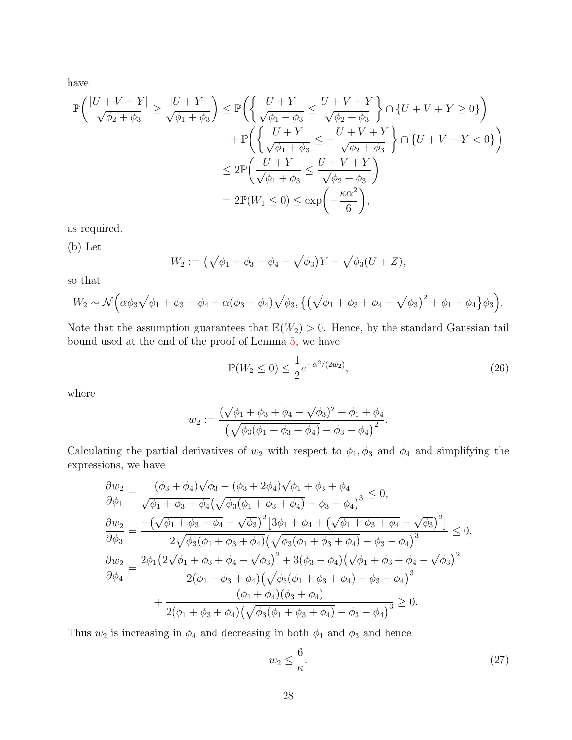have

$$
\mathbb{P}\left(\frac{|U+V+Y|}{\sqrt{\phi_2+\phi_3}}\geq \frac{|U+Y|}{\sqrt{\phi_1+\phi_3}}\right) \leq \mathbb{P}\left(\left\{\frac{U+Y}{\sqrt{\phi_1+\phi_3}}\leq \frac{U+V+Y}{\sqrt{\phi_2+\phi_3}}\right\} \cap \{U+V+Y\geq 0\}\right) \n+ \mathbb{P}\left(\left\{\frac{U+Y}{\sqrt{\phi_1+\phi_3}}\leq -\frac{U+V+Y}{\sqrt{\phi_2+\phi_3}}\right\} \cap \{U+V+Y<0\}\right) \n\leq 2\mathbb{P}\left(\frac{U+Y}{\sqrt{\phi_1+\phi_3}}\leq \frac{U+V+Y}{\sqrt{\phi_2+\phi_3}}\right) \n= 2\mathbb{P}(W_1\leq 0) \leq \exp\left(-\frac{\kappa\alpha^2}{6}\right),
$$

as required.

(b) Let

$$
W_2 := (\sqrt{\phi_1 + \phi_3 + \phi_4} - \sqrt{\phi_3})Y - \sqrt{\phi_3}(U + Z),
$$

so that

$$
W_2 \sim \mathcal{N}\Big(\alpha\phi_3\sqrt{\phi_1 + \phi_3 + \phi_4} - \alpha(\phi_3 + \phi_4)\sqrt{\phi_3}, \left\{\left(\sqrt{\phi_1 + \phi_3 + \phi_4} - \sqrt{\phi_3}\right)^2 + \phi_1 + \phi_4\right\}\phi_3\Big).
$$

Note that the assumption guarantees that  $\mathbb{E}(W_2) > 0$ . Hence, by the standard Gaussian tail bound used at the end of the proof of Lemma [5,](#page-22-3) we have

<span id="page-27-0"></span>
$$
\mathbb{P}(W_2 \le 0) \le \frac{1}{2} e^{-\alpha^2/(2w_2)},\tag{26}
$$

where

$$
w_2 := \frac{(\sqrt{\phi_1 + \phi_3 + \phi_4} - \sqrt{\phi_3})^2 + \phi_1 + \phi_4}{(\sqrt{\phi_3(\phi_1 + \phi_3 + \phi_4)} - \phi_3 - \phi_4)^2}.
$$

Calculating the partial derivatives of  $w_2$  with respect to  $\phi_1, \phi_3$  and  $\phi_4$  and simplifying the expressions, we have

$$
\frac{\partial w_2}{\partial \phi_1} = \frac{(\phi_3 + \phi_4)\sqrt{\phi_3} - (\phi_3 + 2\phi_4)\sqrt{\phi_1 + \phi_3 + \phi_4}}{\sqrt{\phi_1 + \phi_3 + \phi_4} (\sqrt{\phi_3(\phi_1 + \phi_3 + \phi_4)} - \phi_3 - \phi_4)^3} \le 0,
$$
\n
$$
\frac{\partial w_2}{\partial \phi_3} = \frac{-(\sqrt{\phi_1 + \phi_3 + \phi_4} - \sqrt{\phi_3})^2 [3\phi_1 + \phi_4 + (\sqrt{\phi_1 + \phi_3 + \phi_4} - \sqrt{\phi_3})^2]}{2\sqrt{\phi_3(\phi_1 + \phi_3 + \phi_4)} (\sqrt{\phi_3(\phi_1 + \phi_3 + \phi_4)} - \phi_3 - \phi_4)^3} \le 0,
$$
\n
$$
\frac{\partial w_2}{\partial \phi_4} = \frac{2\phi_1 (2\sqrt{\phi_1 + \phi_3 + \phi_4} - \sqrt{\phi_3})^2 + 3(\phi_3 + \phi_4)(\sqrt{\phi_1 + \phi_3 + \phi_4} - \sqrt{\phi_3})^2}{2(\phi_1 + \phi_3 + \phi_4)(\sqrt{\phi_3(\phi_1 + \phi_3 + \phi_4)} - \phi_3 - \phi_4)^3} + \frac{(\phi_1 + \phi_4)(\phi_3 + \phi_4)}{2(\phi_1 + \phi_3 + \phi_4)(\sqrt{\phi_3(\phi_1 + \phi_3 + \phi_4)} - \phi_3 - \phi_4)^3} \ge 0.
$$

Thus  $w_2$  is increasing in  $\phi_4$  and decreasing in both  $\phi_1$  and  $\phi_3$  and hence

<span id="page-27-1"></span>
$$
w_2 \le \frac{6}{\kappa}.\tag{27}
$$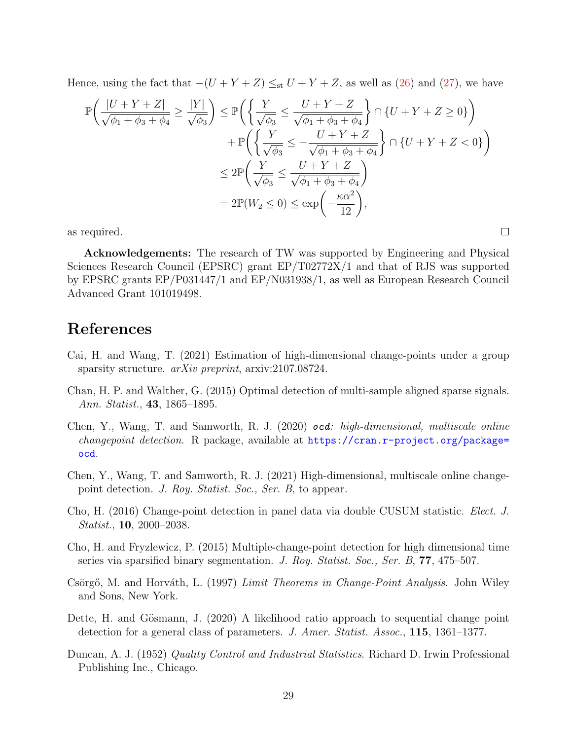Hence, using the fact that  $-(U + Y + Z) \leq_{st} U + Y + Z$ , as well as [\(26\)](#page-27-0) and [\(27\)](#page-27-1), we have

$$
\mathbb{P}\left(\frac{|U+Y+Z|}{\sqrt{\phi_1+\phi_3+\phi_4}} \ge \frac{|Y|}{\sqrt{\phi_3}}\right) \le \mathbb{P}\left(\left\{\frac{Y}{\sqrt{\phi_3}} \le \frac{U+Y+Z}{\sqrt{\phi_1+\phi_3+\phi_4}}\right\} \cap \{U+Y+Z \ge 0\}\right) \n+ \mathbb{P}\left(\left\{\frac{Y}{\sqrt{\phi_3}} \le -\frac{U+Y+Z}{\sqrt{\phi_1+\phi_3+\phi_4}}\right\} \cap \{U+Y+Z<0\}\right) \n\le 2\mathbb{P}\left(\frac{Y}{\sqrt{\phi_3}} \le \frac{U+Y+Z}{\sqrt{\phi_1+\phi_3+\phi_4}}\right) \n= 2\mathbb{P}(W_2 \le 0) \le \exp\left(-\frac{\kappa\alpha^2}{12}\right),
$$

as required.

Acknowledgements: The research of TW was supported by Engineering and Physical Sciences Research Council (EPSRC) grant EP/T02772X/1 and that of RJS was supported by EPSRC grants EP/P031447/1 and EP/N031938/1, as well as European Research Council Advanced Grant 101019498.

 $\Box$ 

## References

- <span id="page-28-8"></span>Cai, H. and Wang, T. (2021) Estimation of high-dimensional change-points under a group sparsity structure. *arXiv preprint*, arxiv:2107.08724.
- <span id="page-28-0"></span>Chan, H. P. and Walther, G. (2015) Optimal detection of multi-sample aligned sparse signals. Ann. Statist., 43, 1865–1895.
- <span id="page-28-7"></span>Chen, Y., Wang, T. and Samworth, R. J. (2020) ocd: high-dimensional, multiscale online changepoint detection. R package, available at [https://cran.r-project.org/package=](https://cran.r-project.org/package=ocd) [ocd](https://cran.r-project.org/package=ocd).
- <span id="page-28-4"></span>Chen, Y., Wang, T. and Samworth, R. J. (2021) High-dimensional, multiscale online changepoint detection. J. Roy. Statist. Soc., Ser. B, to appear.
- <span id="page-28-2"></span>Cho, H. (2016) Change-point detection in panel data via double CUSUM statistic. Elect. J. Statist., 10, 2000–2038.
- <span id="page-28-1"></span>Cho, H. and Fryzlewicz, P. (2015) Multiple-change-point detection for high dimensional time series via sparsified binary segmentation. J. Roy. Statist. Soc., Ser. B, 77, 475–507.
- <span id="page-28-5"></span>Csörgő, M. and Horváth, L. (1997) *Limit Theorems in Change-Point Analysis*. John Wiley and Sons, New York.
- <span id="page-28-3"></span>Dette, H. and Gösmann, J. (2020) A likelihood ratio approach to sequential change point detection for a general class of parameters. J. Amer. Statist. Assoc., 115, 1361–1377.
- <span id="page-28-6"></span>Duncan, A. J. (1952) Quality Control and Industrial Statistics. Richard D. Irwin Professional Publishing Inc., Chicago.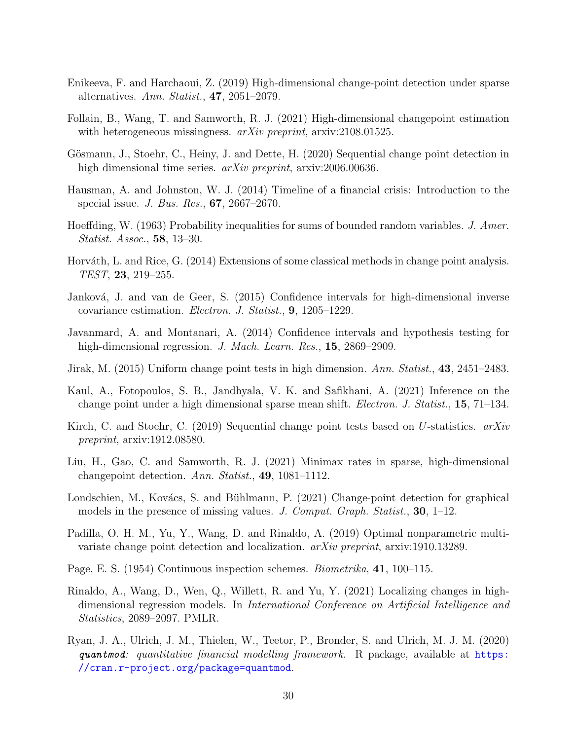- <span id="page-29-1"></span>Enikeeva, F. and Harchaoui, Z. (2019) High-dimensional change-point detection under sparse alternatives. Ann. Statist., 47, 2051–2079.
- <span id="page-29-4"></span>Follain, B., Wang, T. and Samworth, R. J. (2021) High-dimensional changepoint estimation with heterogeneous missingness. *arXiv preprint*, arxiv:2108.01525.
- <span id="page-29-9"></span>Gösmann, J., Stoehr, C., Heiny, J. and Dette, H. (2020) Sequential change point detection in high dimensional time series. *arXiv preprint*, arxiv:2006.00636.
- <span id="page-29-15"></span>Hausman, A. and Johnston, W. J. (2014) Timeline of a financial crisis: Introduction to the special issue. J. Bus. Res., 67, 2667–2670.
- <span id="page-29-16"></span>Hoeffding, W. (1963) Probability inequalities for sums of bounded random variables. J. Amer. Statist. Assoc., 58, 13–30.
- <span id="page-29-11"></span>Horváth, L. and Rice, G. (2014) Extensions of some classical methods in change point analysis. TEST, 23, 219–255.
- <span id="page-29-13"></span>Janková, J. and van de Geer, S. (2015) Confidence intervals for high-dimensional inverse covariance estimation. Electron. J. Statist., 9, 1205–1229.
- <span id="page-29-12"></span>Javanmard, A. and Montanari, A. (2014) Confidence intervals and hypothesis testing for high-dimensional regression. J. Mach. Learn. Res., 15, 2869–2909.
- <span id="page-29-0"></span>Jirak, M. (2015) Uniform change point tests in high dimension. Ann. Statist., 43, 2451–2483.
- <span id="page-29-3"></span>Kaul, A., Fotopoulos, S. B., Jandhyala, V. K. and Safikhani, A. (2021) Inference on the change point under a high dimensional sparse mean shift. Electron. J. Statist., 15, 71–134.
- <span id="page-29-8"></span>Kirch, C. and Stoehr, C. (2019) Sequential change point tests based on U-statistics. arXiv preprint, arxiv:1912.08580.
- <span id="page-29-5"></span>Liu, H., Gao, C. and Samworth, R. J. (2021) Minimax rates in sparse, high-dimensional changepoint detection. Ann. Statist., 49, 1081–1112.
- <span id="page-29-6"></span>Londschien, M., Kovács, S. and Bühlmann, P. (2021) Change-point detection for graphical models in the presence of missing values. J. Comput. Graph. Statist., 30, 1–12.
- <span id="page-29-2"></span>Padilla, O. H. M., Yu, Y., Wang, D. and Rinaldo, A. (2019) Optimal nonparametric multivariate change point detection and localization. arXiv preprint, arxiv:1910.13289.
- <span id="page-29-10"></span>Page, E. S. (1954) Continuous inspection schemes. Biometrika, 41, 100–115.
- <span id="page-29-7"></span>Rinaldo, A., Wang, D., Wen, Q., Willett, R. and Yu, Y. (2021) Localizing changes in highdimensional regression models. In International Conference on Artificial Intelligence and Statistics, 2089–2097. PMLR.
- <span id="page-29-14"></span>Ryan, J. A., Ulrich, J. M., Thielen, W., Teetor, P., Bronder, S. and Ulrich, M. J. M. (2020) quantmod: quantitative financial modelling framework. R package, available at  $https:$ [//cran.r-project.org/package=quantmod](https://cran.r-project.org/package=quantmod).